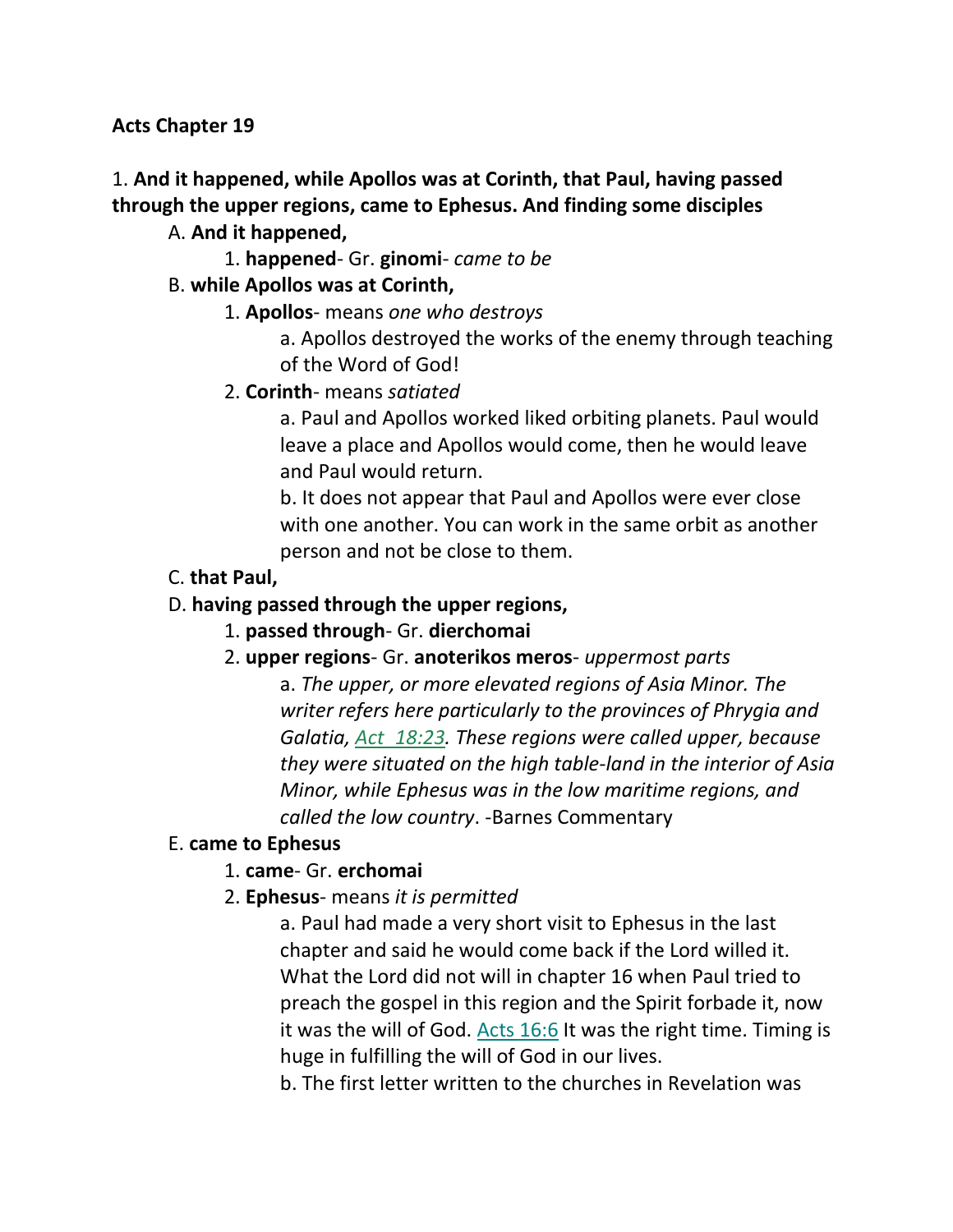**Acts Chapter 19**

## 1. **And it happened, while Apollos was at Corinth, that Paul, having passed through the upper regions, came to Ephesus. And finding some disciples**

#### A. **And it happened,**

1. **happened**- Gr. **ginomi**- *came to be*

#### B. **while Apollos was at Corinth,**

- 1. **Apollos** means *one who destroys*
	- a. Apollos destroyed the works of the enemy through teaching of the Word of God!
- 2. **Corinth** means *satiated*

a. Paul and Apollos worked liked orbiting planets. Paul would leave a place and Apollos would come, then he would leave and Paul would return.

b. It does not appear that Paul and Apollos were ever close with one another. You can work in the same orbit as another person and not be close to them.

C. **that Paul,**

## D. **having passed through the upper regions,**

- 1. **passed through** Gr. **dierchomai**
- 2. **upper regions** Gr. **anoterikos meros** *uppermost parts* a. *The upper, or more elevated regions of Asia Minor. The writer refers here particularly to the provinces of Phrygia and Galatia, Act\_18:23. These regions were called upper, because they were situated on the high table-land in the interior of Asia Minor, while Ephesus was in the low maritime regions, and called the low country*. -Barnes Commentary

## E. **came to Ephesus**

## 1. **came**- Gr. **erchomai**

2. **Ephesus**- means *it is permitted*

a. Paul had made a very short visit to Ephesus in the last chapter and said he would come back if the Lord willed it. What the Lord did not will in chapter 16 when Paul tried to preach the gospel in this region and the Spirit forbade it, now it was the will of God. Acts 16:6 It was the right time. Timing is huge in fulfilling the will of God in our lives.

b. The first letter written to the churches in Revelation was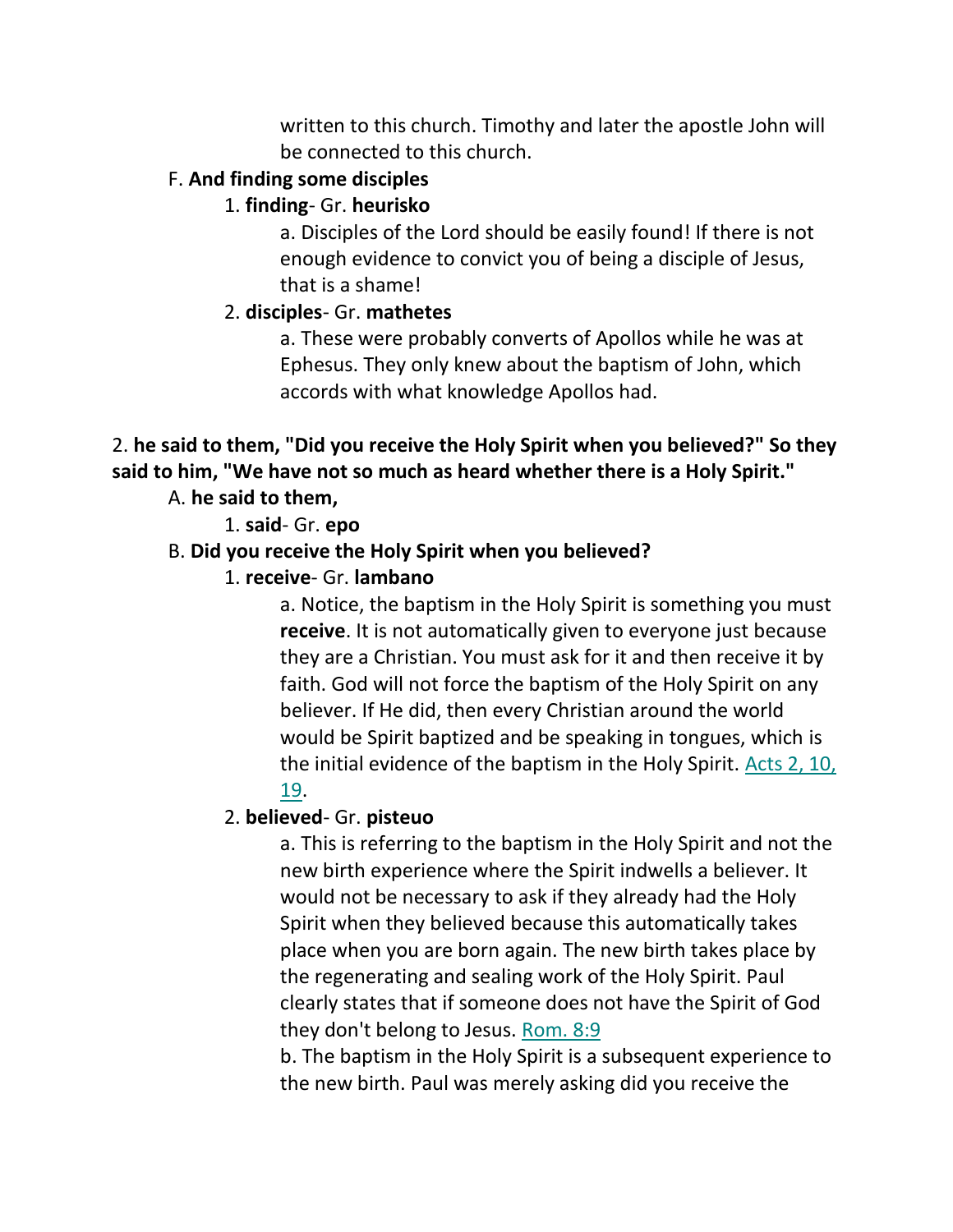written to this church. Timothy and later the apostle John will be connected to this church.

## F. **And finding some disciples**

## 1. **finding**- Gr. **heurisko**

a. Disciples of the Lord should be easily found! If there is not enough evidence to convict you of being a disciple of Jesus, that is a shame!

## 2. **disciples**- Gr. **mathetes**

a. These were probably converts of Apollos while he was at Ephesus. They only knew about the baptism of John, which accords with what knowledge Apollos had.

# 2. **he said to them, "Did you receive the Holy Spirit when you believed?" So they said to him, "We have not so much as heard whether there is a Holy Spirit."**

## A. **he said to them,**

1. **said**- Gr. **epo**

## B. **Did you receive the Holy Spirit when you believed?**

1. **receive**- Gr. **lambano**

a. Notice, the baptism in the Holy Spirit is something you must **receive**. It is not automatically given to everyone just because they are a Christian. You must ask for it and then receive it by faith. God will not force the baptism of the Holy Spirit on any believer. If He did, then every Christian around the world would be Spirit baptized and be speaking in tongues, which is the initial evidence of the baptism in the Holy Spirit. Acts 2, 10, 19.

## 2. **believed**- Gr. **pisteuo**

a. This is referring to the baptism in the Holy Spirit and not the new birth experience where the Spirit indwells a believer. It would not be necessary to ask if they already had the Holy Spirit when they believed because this automatically takes place when you are born again. The new birth takes place by the regenerating and sealing work of the Holy Spirit. Paul clearly states that if someone does not have the Spirit of God they don't belong to Jesus. Rom. 8:9

b. The baptism in the Holy Spirit is a subsequent experience to the new birth. Paul was merely asking did you receive the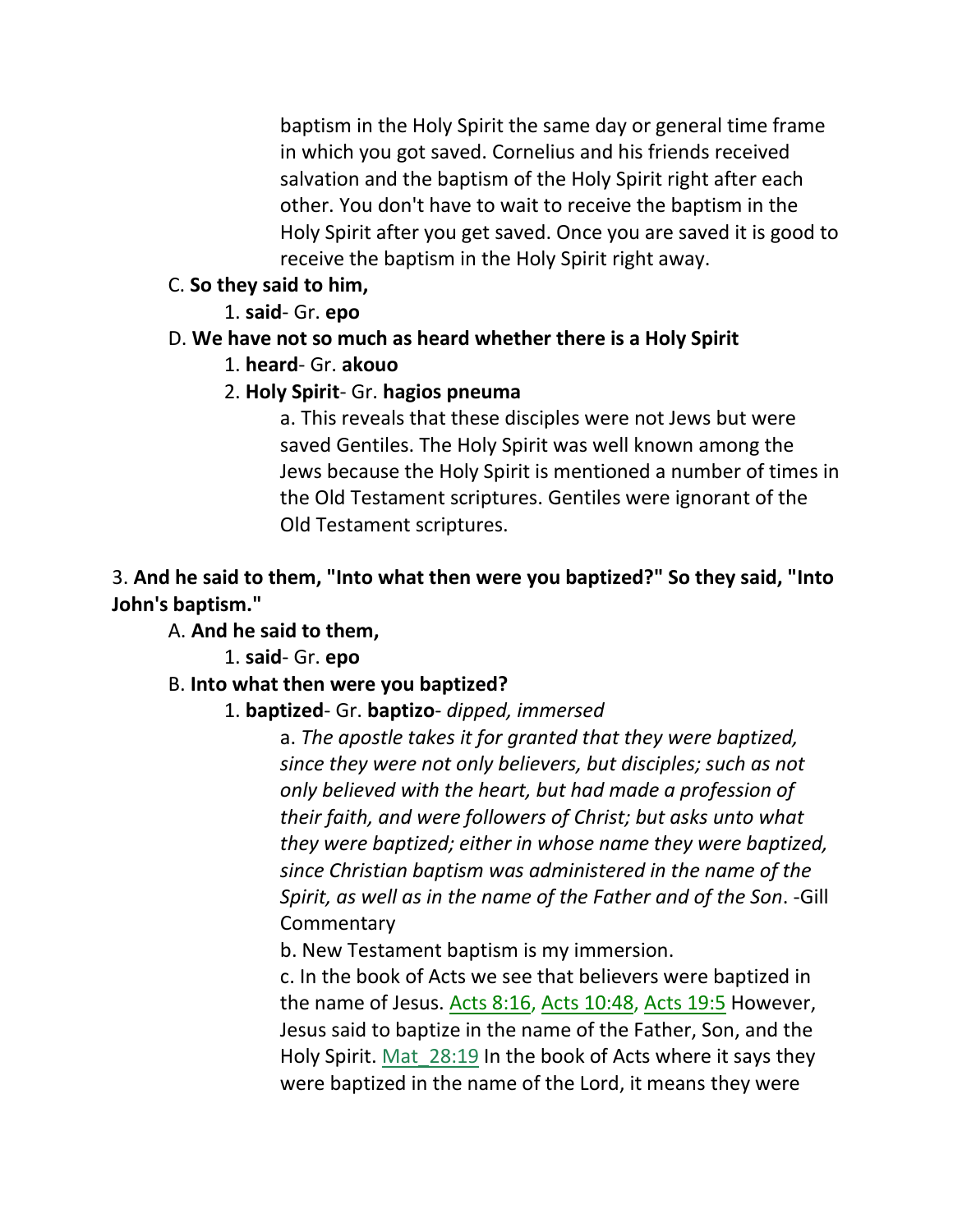baptism in the Holy Spirit the same day or general time frame in which you got saved. Cornelius and his friends received salvation and the baptism of the Holy Spirit right after each other. You don't have to wait to receive the baptism in the Holy Spirit after you get saved. Once you are saved it is good to receive the baptism in the Holy Spirit right away.

- C. **So they said to him,**
	- 1. **said** Gr. **epo**

# D. **We have not so much as heard whether there is a Holy Spirit**

- 1. **heard** Gr. **akouo**
- 2. **Holy Spirit** Gr. **hagios pneuma**

a. This reveals that these disciples were not Jews but were saved Gentiles. The Holy Spirit was well known among the Jews because the Holy Spirit is mentioned a number of times in the Old Testament scriptures. Gentiles were ignorant of the Old Testament scriptures.

3. **And he said to them, "Into what then were you baptized?" So they said, "Into John's baptism."**

A. **And he said to them,**

1. **said**- Gr. **epo**

# B. **Into what then were you baptized?**

1. **baptized**- Gr. **baptizo**- *dipped, immersed*

a. *The apostle takes it for granted that they were baptized, since they were not only believers, but disciples; such as not only believed with the heart, but had made a profession of their faith, and were followers of Christ; but asks unto what they were baptized; either in whose name they were baptized, since Christian baptism was administered in the name of the Spirit, as well as in the name of the Father and of the Son*. -Gill **Commentary** 

b. New Testament baptism is my immersion.

c. In the book of Acts we see that believers were baptized in the name of Jesus. Acts 8:16, Acts 10:48, Acts 19:5 However, Jesus said to baptize in the name of the Father, Son, and the Holy Spirit. Mat\_28:19 In the book of Acts where it says they were baptized in the name of the Lord, it means they were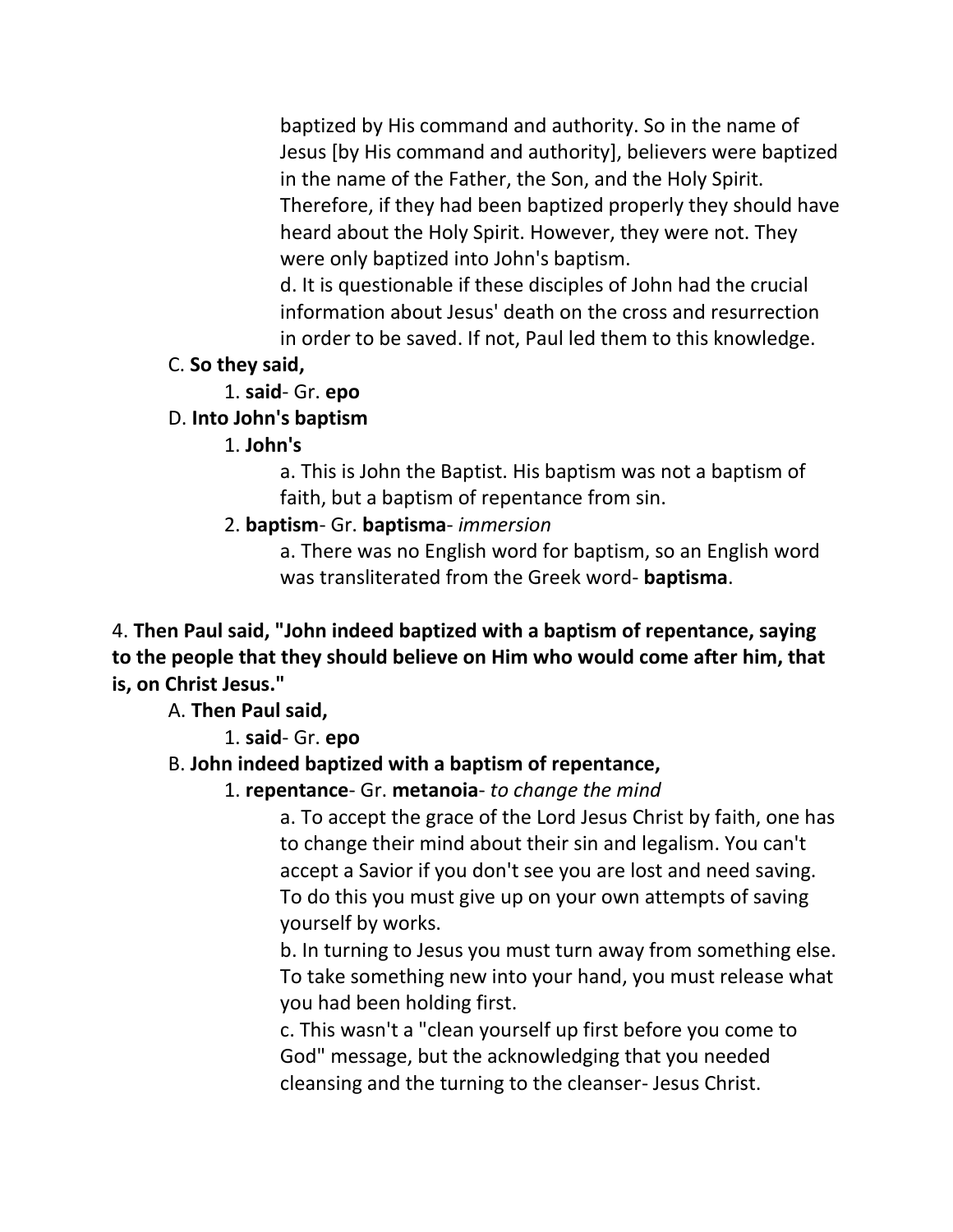baptized by His command and authority. So in the name of Jesus [by His command and authority], believers were baptized in the name of the Father, the Son, and the Holy Spirit. Therefore, if they had been baptized properly they should have heard about the Holy Spirit. However, they were not. They were only baptized into John's baptism.

d. It is questionable if these disciples of John had the crucial information about Jesus' death on the cross and resurrection in order to be saved. If not, Paul led them to this knowledge.

#### C. **So they said,**

1. **said**- Gr. **epo**

## D. **Into John's baptism**

#### 1. **John's**

a. This is John the Baptist. His baptism was not a baptism of faith, but a baptism of repentance from sin.

## 2. **baptism**- Gr. **baptisma**- *immersion*

a. There was no English word for baptism, so an English word was transliterated from the Greek word- **baptisma**.

4. **Then Paul said, "John indeed baptized with a baptism of repentance, saying to the people that they should believe on Him who would come after him, that is, on Christ Jesus."**

A. **Then Paul said,**

1. **said**- Gr. **epo**

# B. **John indeed baptized with a baptism of repentance,**

1. **repentance**- Gr. **metanoia**- *to change the mind*

a. To accept the grace of the Lord Jesus Christ by faith, one has to change their mind about their sin and legalism. You can't accept a Savior if you don't see you are lost and need saving. To do this you must give up on your own attempts of saving yourself by works.

b. In turning to Jesus you must turn away from something else. To take something new into your hand, you must release what you had been holding first.

c. This wasn't a "clean yourself up first before you come to God" message, but the acknowledging that you needed cleansing and the turning to the cleanser- Jesus Christ.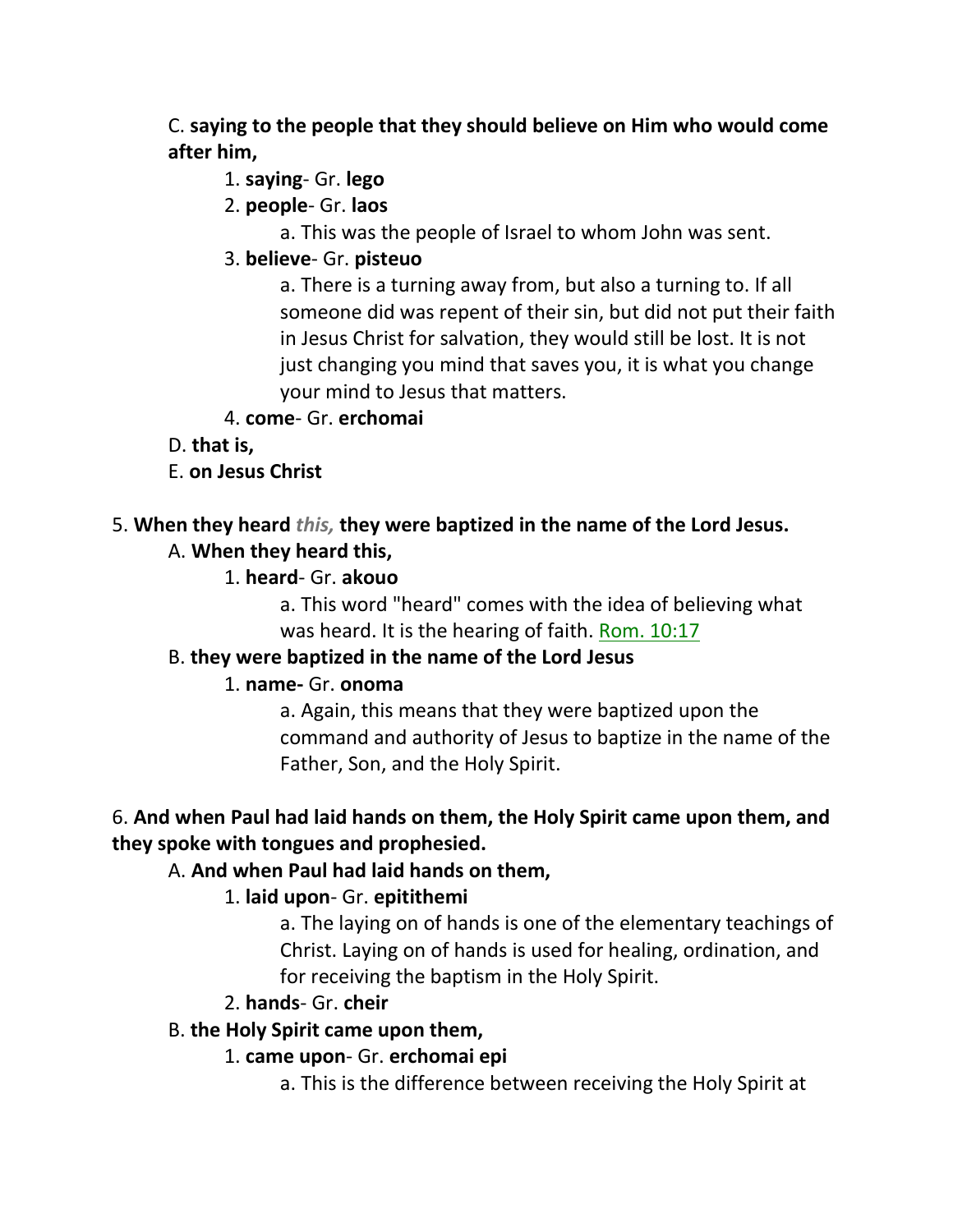C. **saying to the people that they should believe on Him who would come after him,**

- 1. **saying** Gr. **lego**
- 2. **people** Gr. **laos**
	- a. This was the people of Israel to whom John was sent.
- 3. **believe** Gr. **pisteuo**

a. There is a turning away from, but also a turning to. If all someone did was repent of their sin, but did not put their faith in Jesus Christ for salvation, they would still be lost. It is not just changing you mind that saves you, it is what you change your mind to Jesus that matters.

- 4. **come** Gr. **erchomai**
- D. **that is,**
- E. **on Jesus Christ**

## 5. **When they heard** *this,* **they were baptized in the name of the Lord Jesus.**

- A. **When they heard this,**
	- 1. **heard** Gr. **akouo**

a. This word "heard" comes with the idea of believing what was heard. It is the hearing of faith. Rom. 10:17

# B. **they were baptized in the name of the Lord Jesus**

## 1. **name-** Gr. **onoma**

a. Again, this means that they were baptized upon the command and authority of Jesus to baptize in the name of the Father, Son, and the Holy Spirit.

# 6. **And when Paul had laid hands on them, the Holy Spirit came upon them, and they spoke with tongues and prophesied.**

# A. **And when Paul had laid hands on them,**

# 1. **laid upon**- Gr. **epitithemi**

a. The laying on of hands is one of the elementary teachings of Christ. Laying on of hands is used for healing, ordination, and for receiving the baptism in the Holy Spirit.

## 2. **hands**- Gr. **cheir**

# B. **the Holy Spirit came upon them,**

- 1. **came upon** Gr. **erchomai epi**
	- a. This is the difference between receiving the Holy Spirit at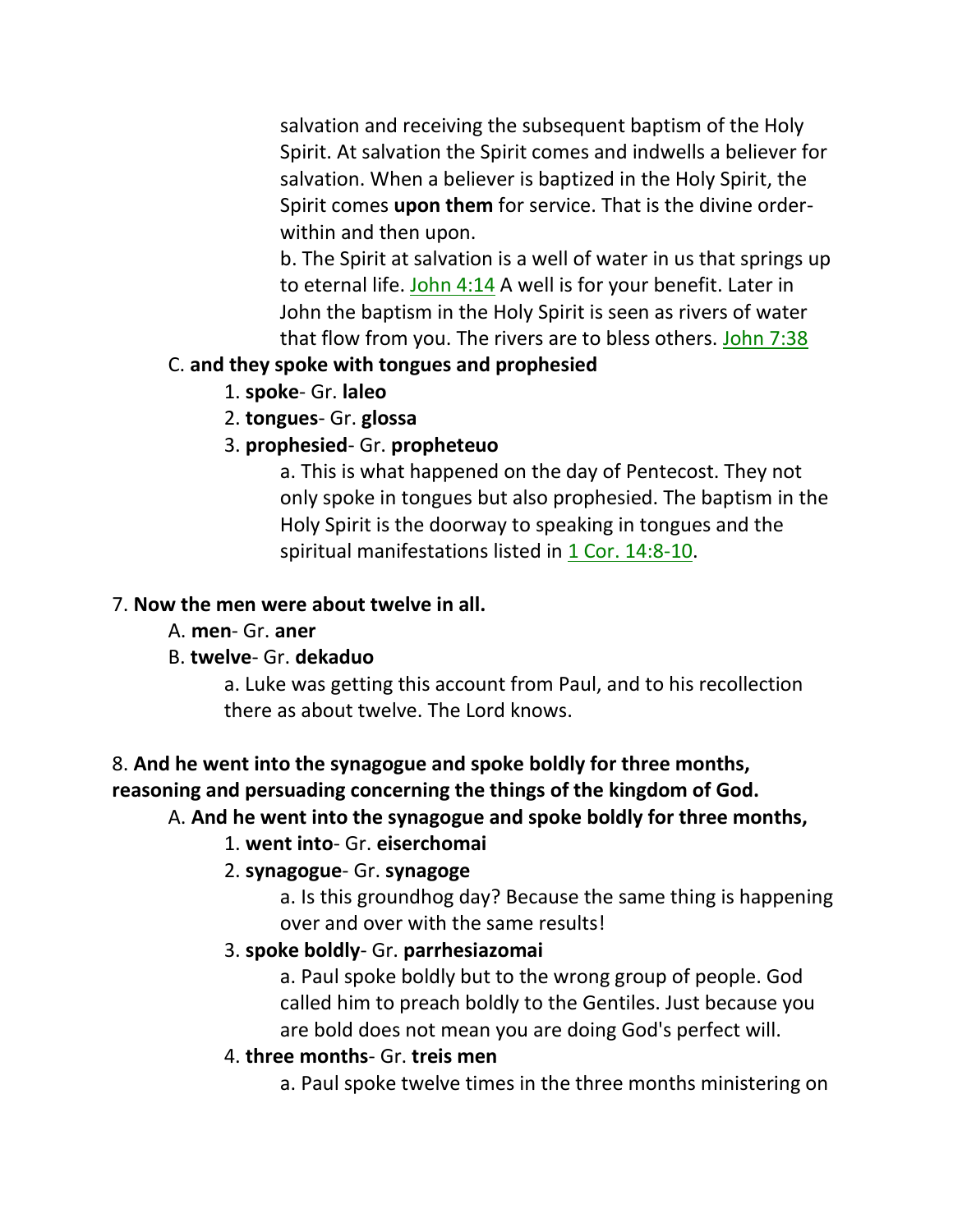salvation and receiving the subsequent baptism of the Holy Spirit. At salvation the Spirit comes and indwells a believer for salvation. When a believer is baptized in the Holy Spirit, the Spirit comes **upon them** for service. That is the divine orderwithin and then upon.

b. The Spirit at salvation is a well of water in us that springs up to eternal life. John 4:14 A well is for your benefit. Later in John the baptism in the Holy Spirit is seen as rivers of water that flow from you. The rivers are to bless others. John 7:38

#### C. **and they spoke with tongues and prophesied**

- 1. **spoke** Gr. **laleo**
- 2. **tongues** Gr. **glossa**
- 3. **prophesied** Gr. **propheteuo**

a. This is what happened on the day of Pentecost. They not only spoke in tongues but also prophesied. The baptism in the Holy Spirit is the doorway to speaking in tongues and the spiritual manifestations listed in 1 Cor. 14:8-10.

#### 7. **Now the men were about twelve in all.**

A. **men**- Gr. **aner**

## B. **twelve**- Gr. **dekaduo**

a. Luke was getting this account from Paul, and to his recollection there as about twelve. The Lord knows.

## 8. **And he went into the synagogue and spoke boldly for three months, reasoning and persuading concerning the things of the kingdom of God.**

## A. **And he went into the synagogue and spoke boldly for three months,**

## 1. **went into**- Gr. **eiserchomai**

## 2. **synagogue**- Gr. **synagoge**

a. Is this groundhog day? Because the same thing is happening over and over with the same results!

## 3. **spoke boldly**- Gr. **parrhesiazomai**

a. Paul spoke boldly but to the wrong group of people. God called him to preach boldly to the Gentiles. Just because you are bold does not mean you are doing God's perfect will.

## 4. **three months**- Gr. **treis men**

a. Paul spoke twelve times in the three months ministering on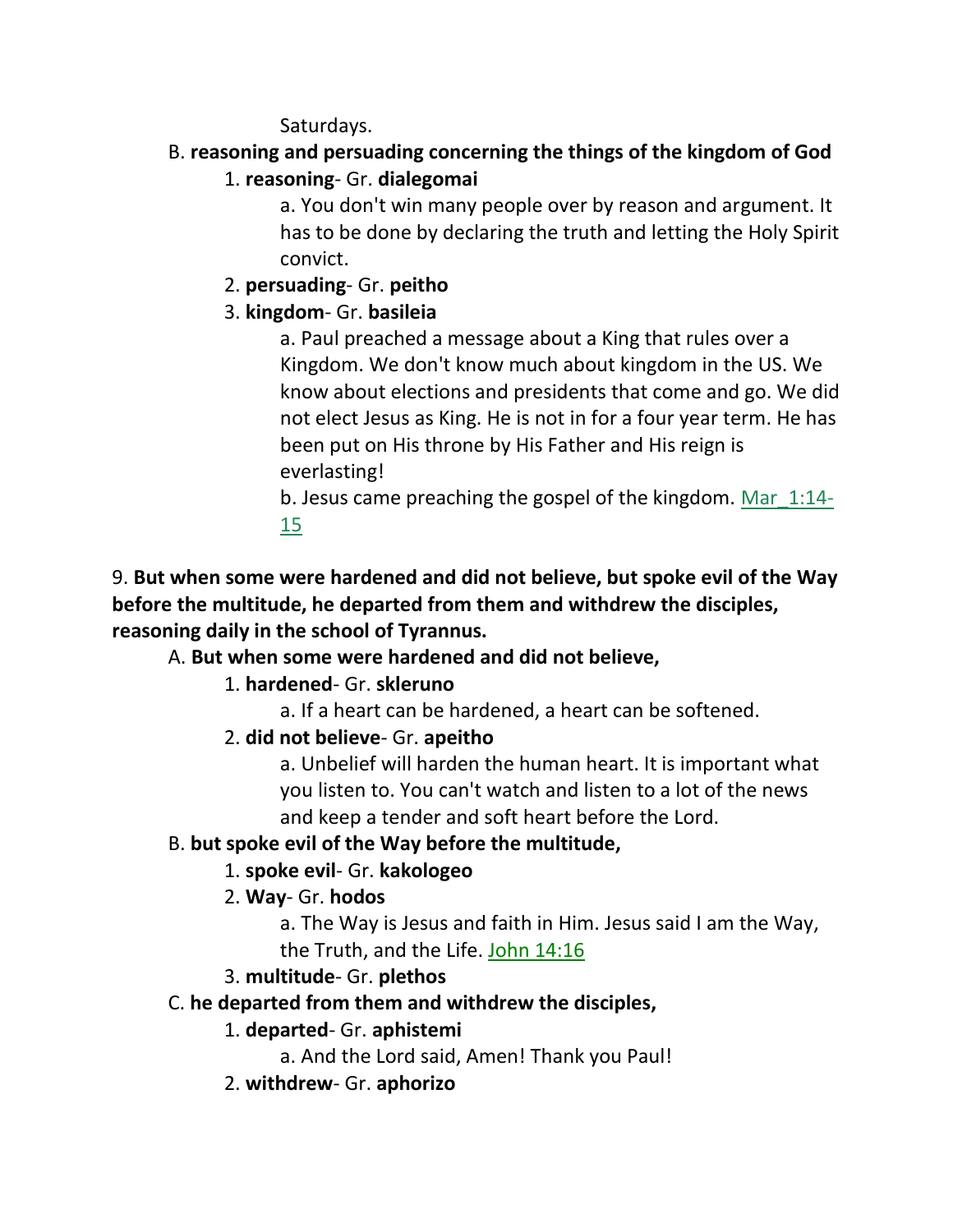Saturdays.

# B. **reasoning and persuading concerning the things of the kingdom of God**

1. **reasoning**- Gr. **dialegomai**

a. You don't win many people over by reason and argument. It has to be done by declaring the truth and letting the Holy Spirit convict.

2. **persuading**- Gr. **peitho**

# 3. **kingdom**- Gr. **basileia**

a. Paul preached a message about a King that rules over a Kingdom. We don't know much about kingdom in the US. We know about elections and presidents that come and go. We did not elect Jesus as King. He is not in for a four year term. He has been put on His throne by His Father and His reign is everlasting!

b. Jesus came preaching the gospel of the kingdom. Mar\_1:14- 15

9. **But when some were hardened and did not believe, but spoke evil of the Way before the multitude, he departed from them and withdrew the disciples, reasoning daily in the school of Tyrannus.**

# A. **But when some were hardened and did not believe,**

# 1. **hardened**- Gr. **skleruno**

a. If a heart can be hardened, a heart can be softened.

2. **did not believe**- Gr. **apeitho**

a. Unbelief will harden the human heart. It is important what you listen to. You can't watch and listen to a lot of the news and keep a tender and soft heart before the Lord.

# B. **but spoke evil of the Way before the multitude,**

# 1. **spoke evil**- Gr. **kakologeo**

# 2. **Way**- Gr. **hodos**

a. The Way is Jesus and faith in Him. Jesus said I am the Way, the Truth, and the Life. John 14:16

# 3. **multitude**- Gr. **plethos**

# C. **he departed from them and withdrew the disciples,**

# 1. **departed**- Gr. **aphistemi**

a. And the Lord said, Amen! Thank you Paul!

2. **withdrew**- Gr. **aphorizo**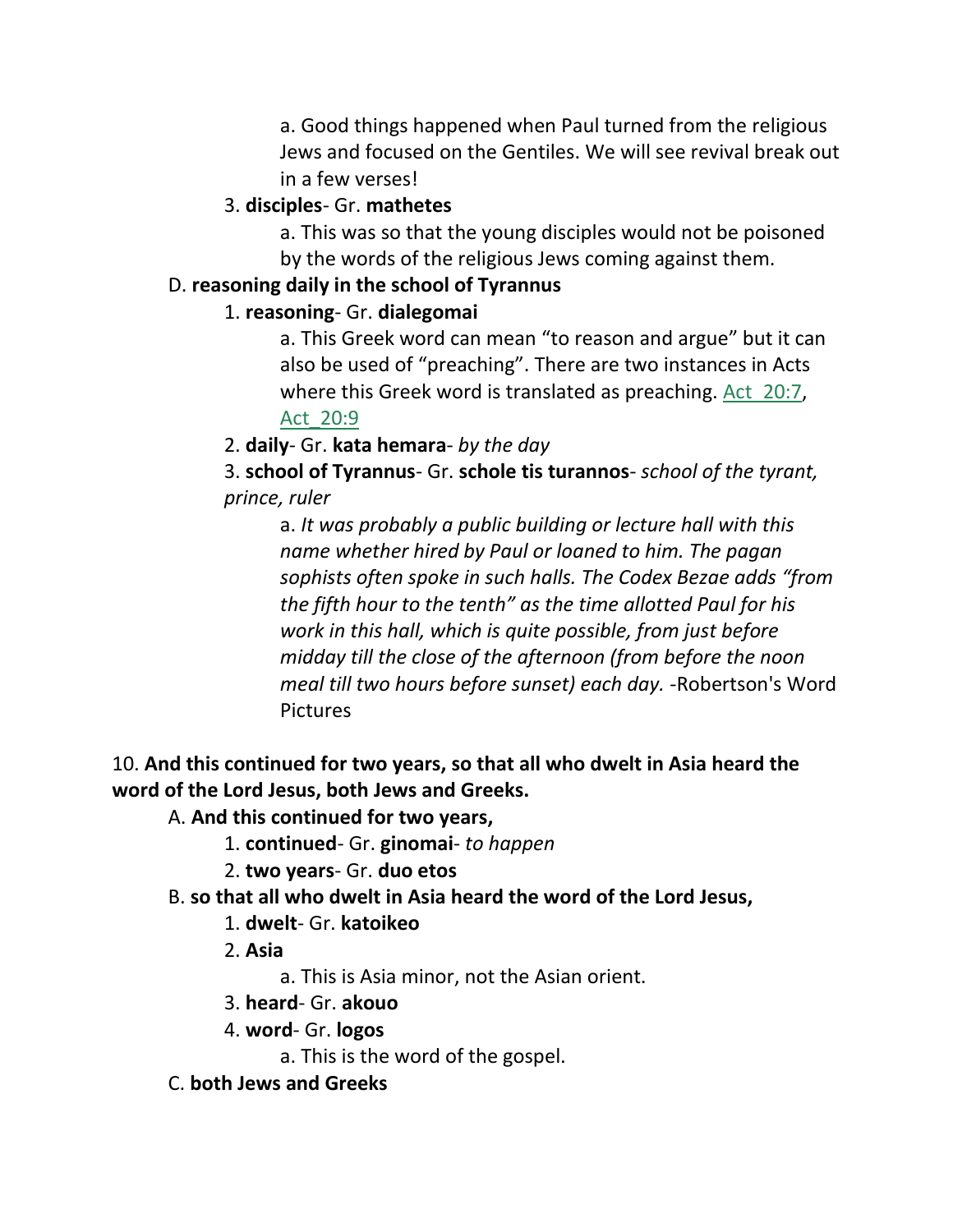a. Good things happened when Paul turned from the religious Jews and focused on the Gentiles. We will see revival break out in a few verses!

## 3. **disciples**- Gr. **mathetes**

a. This was so that the young disciples would not be poisoned by the words of the religious Jews coming against them.

#### D. **reasoning daily in the school of Tyrannus**

## 1. **reasoning**- Gr. **dialegomai**

a. This Greek word can mean "to reason and argue" but it can also be used of "preaching". There are two instances in Acts where this Greek word is translated as preaching. Act 20:7, Act\_20:9

2. **daily**- Gr. **kata hemara**- *by the day*

3. **school of Tyrannus**- Gr. **schole tis turannos***- school of the tyrant, prince, ruler*

a. *It was probably a public building or lecture hall with this name whether hired by Paul or loaned to him. The pagan sophists often spoke in such halls. The Codex Bezae adds "from the fifth hour to the tenth" as the time allotted Paul for his work in this hall, which is quite possible, from just before midday till the close of the afternoon (from before the noon meal till two hours before sunset) each day.* -Robertson's Word Pictures

## 10. **And this continued for two years, so that all who dwelt in Asia heard the word of the Lord Jesus, both Jews and Greeks.**

## A. **And this continued for two years,**

- 1. **continued** Gr. **ginomai** *to happen*
- 2. **two years** Gr. **duo etos**
- B. **so that all who dwelt in Asia heard the word of the Lord Jesus,**

## 1. **dwelt**- Gr. **katoikeo**

- 2. **Asia**
	- a. This is Asia minor, not the Asian orient.
- 3. **heard** Gr. **akouo**
- 4. **word** Gr. **logos**
	- a. This is the word of the gospel.
- C. **both Jews and Greeks**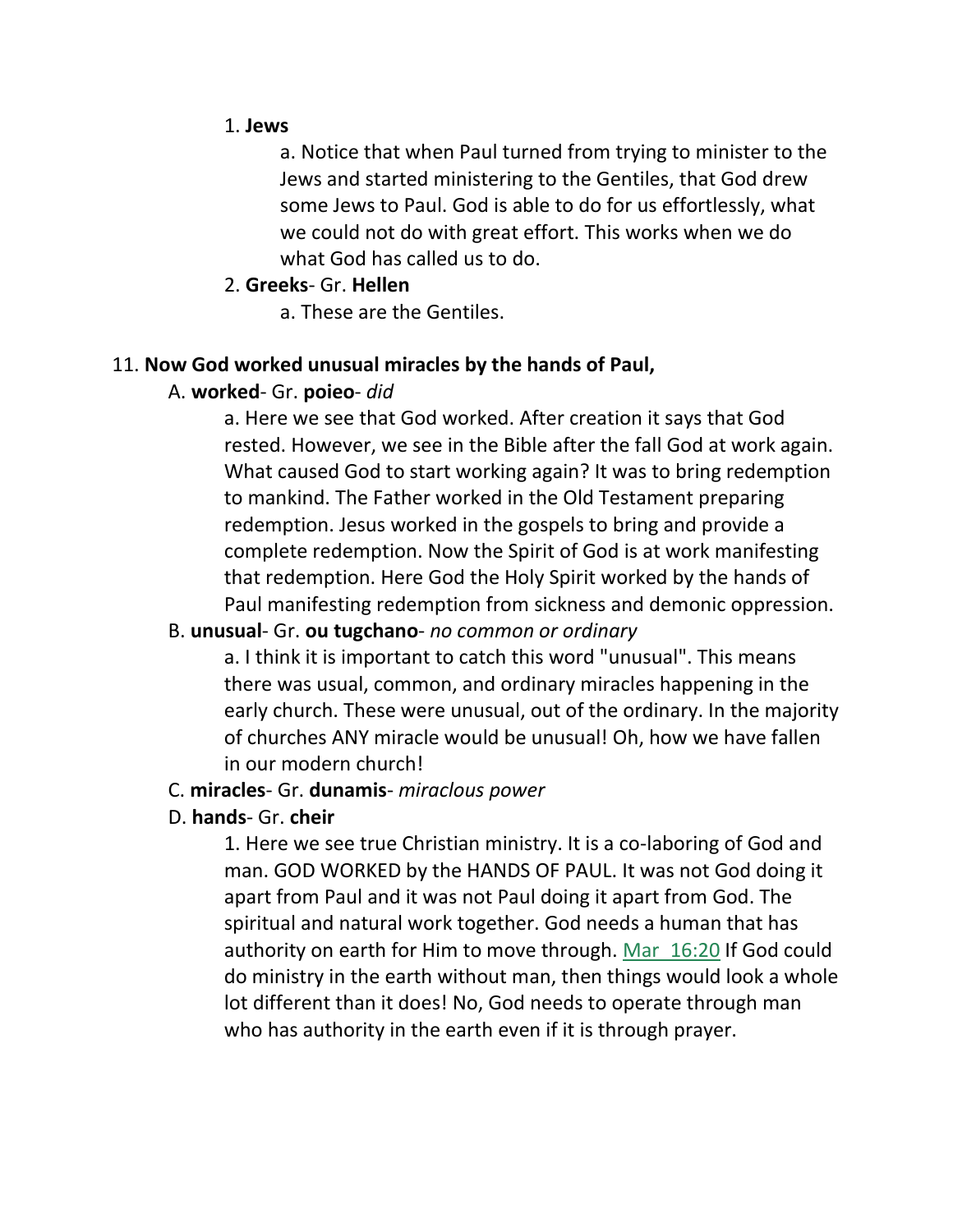#### 1. **Jews**

a. Notice that when Paul turned from trying to minister to the Jews and started ministering to the Gentiles, that God drew some Jews to Paul. God is able to do for us effortlessly, what we could not do with great effort. This works when we do what God has called us to do.

#### 2. **Greeks**- Gr. **Hellen**

a. These are the Gentiles.

#### 11. **Now God worked unusual miracles by the hands of Paul,**

#### A. **worked**- Gr. **poieo**- *did*

a. Here we see that God worked. After creation it says that God rested. However, we see in the Bible after the fall God at work again. What caused God to start working again? It was to bring redemption to mankind. The Father worked in the Old Testament preparing redemption. Jesus worked in the gospels to bring and provide a complete redemption. Now the Spirit of God is at work manifesting that redemption. Here God the Holy Spirit worked by the hands of Paul manifesting redemption from sickness and demonic oppression.

#### B. **unusual**- Gr. **ou tugchano**- *no common or ordinary*

a. I think it is important to catch this word "unusual". This means there was usual, common, and ordinary miracles happening in the early church. These were unusual, out of the ordinary. In the majority of churches ANY miracle would be unusual! Oh, how we have fallen in our modern church!

#### C. **miracles**- Gr. **dunamis**- *miraclous power*

#### D. **hands**- Gr. **cheir**

1. Here we see true Christian ministry. It is a co-laboring of God and man. GOD WORKED by the HANDS OF PAUL. It was not God doing it apart from Paul and it was not Paul doing it apart from God. The spiritual and natural work together. God needs a human that has authority on earth for Him to move through. Mar 16:20 If God could do ministry in the earth without man, then things would look a whole lot different than it does! No, God needs to operate through man who has authority in the earth even if it is through prayer.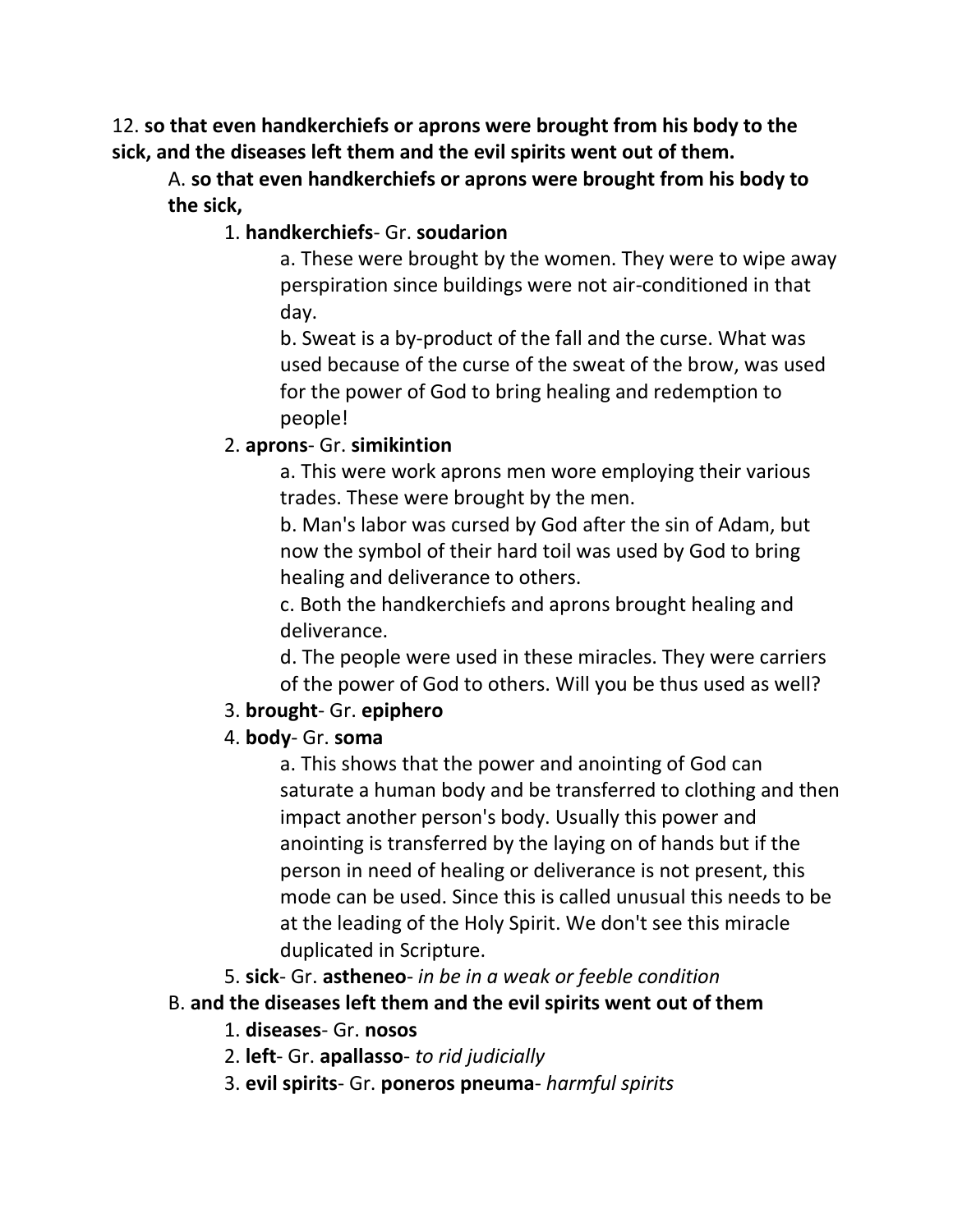12. **so that even handkerchiefs or aprons were brought from his body to the sick, and the diseases left them and the evil spirits went out of them.**

A. **so that even handkerchiefs or aprons were brought from his body to the sick,**

#### 1. **handkerchiefs**- Gr. **soudarion**

a. These were brought by the women. They were to wipe away perspiration since buildings were not air-conditioned in that day.

b. Sweat is a by-product of the fall and the curse. What was used because of the curse of the sweat of the brow, was used for the power of God to bring healing and redemption to people!

#### 2. **aprons**- Gr. **simikintion**

a. This were work aprons men wore employing their various trades. These were brought by the men.

b. Man's labor was cursed by God after the sin of Adam, but now the symbol of their hard toil was used by God to bring healing and deliverance to others.

c. Both the handkerchiefs and aprons brought healing and deliverance.

d. The people were used in these miracles. They were carriers of the power of God to others. Will you be thus used as well?

#### 3. **brought**- Gr. **epiphero**

#### 4. **body**- Gr. **soma**

a. This shows that the power and anointing of God can saturate a human body and be transferred to clothing and then impact another person's body. Usually this power and anointing is transferred by the laying on of hands but if the person in need of healing or deliverance is not present, this mode can be used. Since this is called unusual this needs to be at the leading of the Holy Spirit. We don't see this miracle duplicated in Scripture.

5. **sick**- Gr. **astheneo**- *in be in a weak or feeble condition*

#### B. **and the diseases left them and the evil spirits went out of them**

1. **diseases**- Gr. **nosos**

- 2. **left** Gr. **apallasso** *to rid judicially*
- 3. **evil spirits** Gr. **poneros pneuma** *harmful spirits*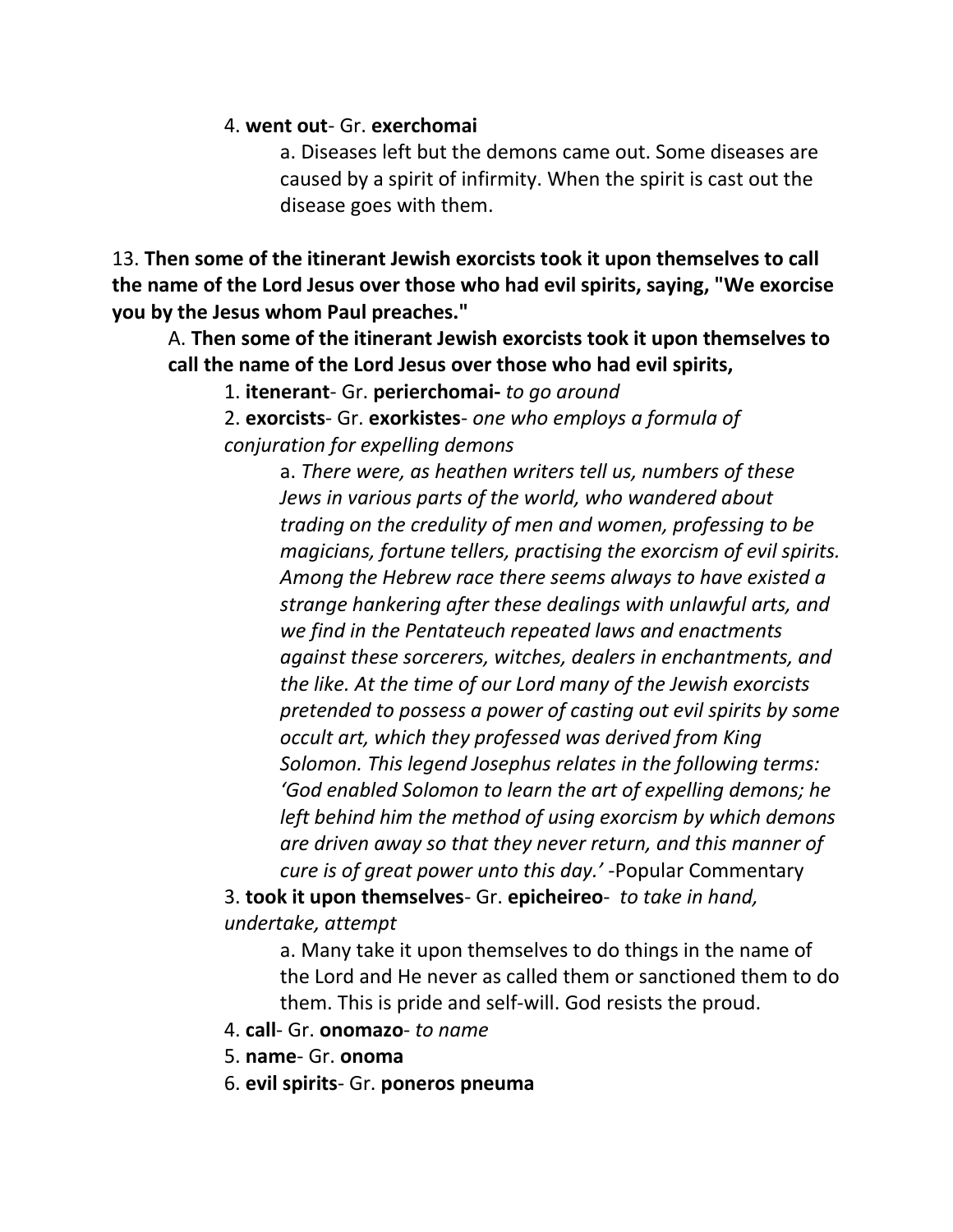#### 4. **went out**- Gr. **exerchomai**

a. Diseases left but the demons came out. Some diseases are caused by a spirit of infirmity. When the spirit is cast out the disease goes with them.

13. **Then some of the itinerant Jewish exorcists took it upon themselves to call the name of the Lord Jesus over those who had evil spirits, saying, "We exorcise you by the Jesus whom Paul preaches."**

A. **Then some of the itinerant Jewish exorcists took it upon themselves to call the name of the Lord Jesus over those who had evil spirits,**

1. **itenerant**- Gr. **perierchomai-** *to go around*

2. **exorcists**- Gr. **exorkistes**- *one who employs a formula of conjuration for expelling demons*

> a. *There were, as heathen writers tell us, numbers of these Jews in various parts of the world, who wandered about trading on the credulity of men and women, professing to be magicians, fortune tellers, practising the exorcism of evil spirits. Among the Hebrew race there seems always to have existed a strange hankering after these dealings with unlawful arts, and we find in the Pentateuch repeated laws and enactments against these sorcerers, witches, dealers in enchantments, and the like. At the time of our Lord many of the Jewish exorcists pretended to possess a power of casting out evil spirits by some occult art, which they professed was derived from King Solomon. This legend Josephus relates in the following terms: 'God enabled Solomon to learn the art of expelling demons; he left behind him the method of using exorcism by which demons are driven away so that they never return, and this manner of cure is of great power unto this day.'* -Popular Commentary

3. **took it upon themselves**- Gr. **epicheireo**- *to take in hand, undertake, attempt*

a. Many take it upon themselves to do things in the name of the Lord and He never as called them or sanctioned them to do them. This is pride and self-will. God resists the proud.

- 4. **call** Gr. **onomazo** *to name*
- 5. **name** Gr. **onoma**
- 6. **evil spirits** Gr. **poneros pneuma**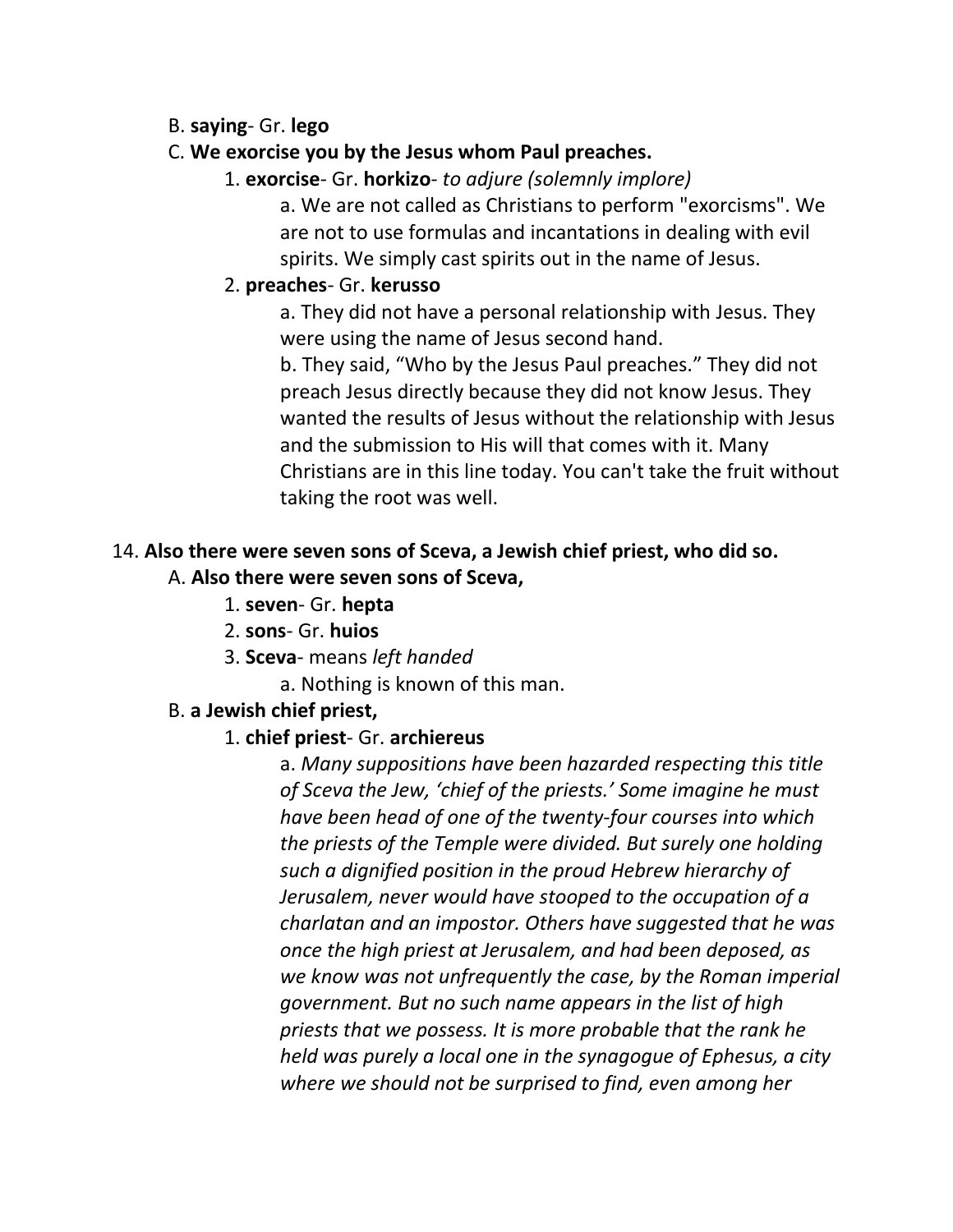#### B. **saying**- Gr. **lego**

#### C. **We exorcise you by the Jesus whom Paul preaches.**

1. **exorcise**- Gr. **horkizo**- *to adjure (solemnly implore)*

a. We are not called as Christians to perform "exorcisms". We are not to use formulas and incantations in dealing with evil spirits. We simply cast spirits out in the name of Jesus.

#### 2. **preaches**- Gr. **kerusso**

a. They did not have a personal relationship with Jesus. They were using the name of Jesus second hand.

b. They said, "Who by the Jesus Paul preaches." They did not preach Jesus directly because they did not know Jesus. They wanted the results of Jesus without the relationship with Jesus and the submission to His will that comes with it. Many Christians are in this line today. You can't take the fruit without taking the root was well.

## 14. **Also there were seven sons of Sceva, a Jewish chief priest, who did so.**

#### A. **Also there were seven sons of Sceva,**

- 1. **seven** Gr. **hepta**
- 2. **sons** Gr. **huios**
- 3. **Sceva** means *left handed*

a. Nothing is known of this man.

#### B. **a Jewish chief priest,**

## 1. **chief priest**- Gr. **archiereus**

a. *Many suppositions have been hazarded respecting this title of Sceva the Jew, 'chief of the priests.' Some imagine he must have been head of one of the twenty-four courses into which the priests of the Temple were divided. But surely one holding such a dignified position in the proud Hebrew hierarchy of Jerusalem, never would have stooped to the occupation of a charlatan and an impostor. Others have suggested that he was once the high priest at Jerusalem, and had been deposed, as we know was not unfrequently the case, by the Roman imperial government. But no such name appears in the list of high priests that we possess. It is more probable that the rank he held was purely a local one in the synagogue of Ephesus, a city where we should not be surprised to find, even among her*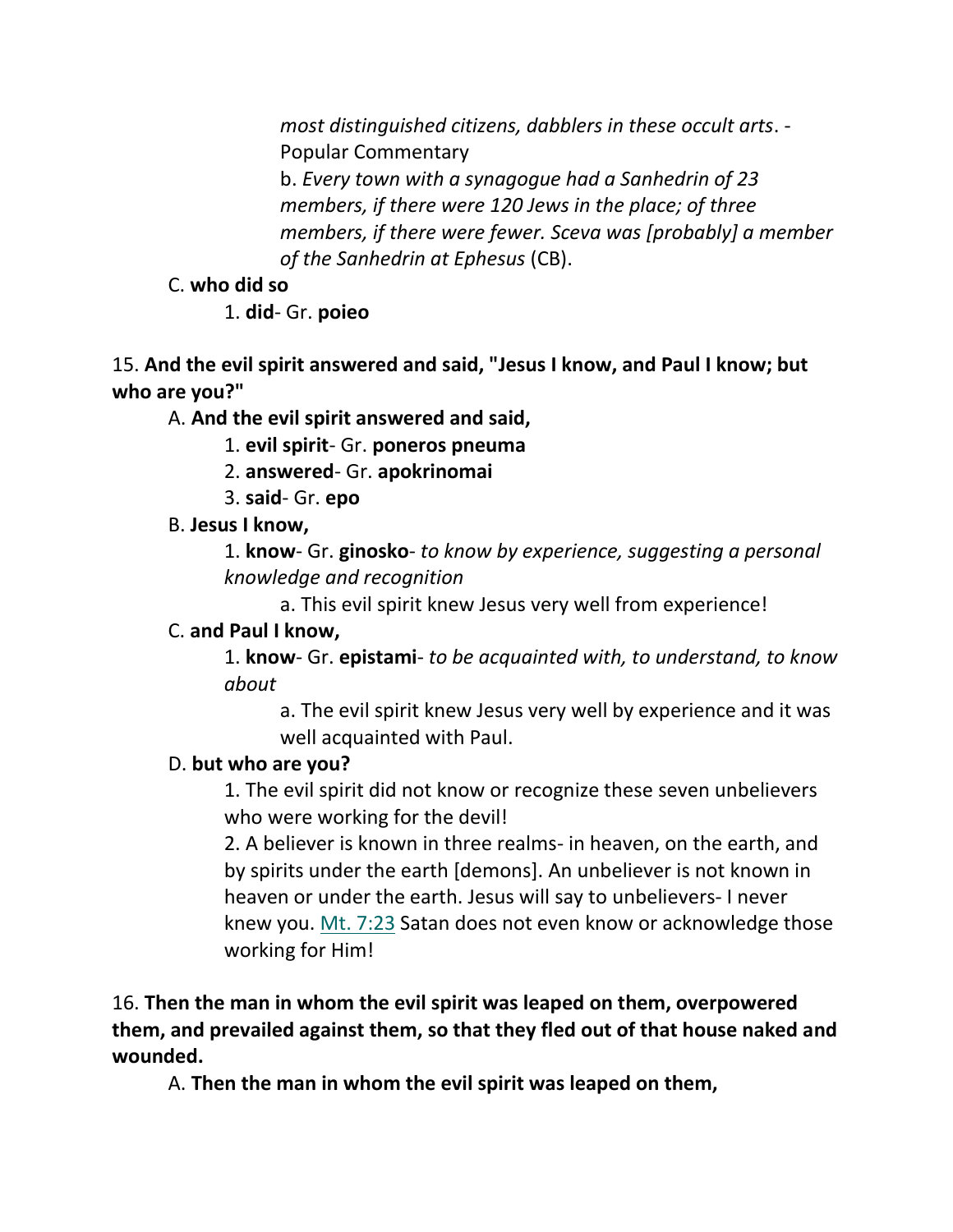*most distinguished citizens, dabblers in these occult arts*. - Popular Commentary

b. *Every town with a synagogue had a Sanhedrin of 23 members, if there were 120 Jews in the place; of three members, if there were fewer. Sceva was [probably] a member of the Sanhedrin at Ephesus* (CB).

## C. **who did so**

1. **did**- Gr. **poieo**

## 15. **And the evil spirit answered and said, "Jesus I know, and Paul I know; but who are you?"**

A. **And the evil spirit answered and said,**

1. **evil spirit**- Gr. **poneros pneuma**

- 2. **answered** Gr. **apokrinomai**
- 3. **said** Gr. **epo**

# B. **Jesus I know,**

1. **know**- Gr. **ginosko**- *to know by experience, suggesting a personal knowledge and recognition*

a. This evil spirit knew Jesus very well from experience!

# C. **and Paul I know,**

1. **know**- Gr. **epistami**- *to be acquainted with, to understand, to know about*

a. The evil spirit knew Jesus very well by experience and it was well acquainted with Paul.

# D. **but who are you?**

1. The evil spirit did not know or recognize these seven unbelievers who were working for the devil!

2. A believer is known in three realms- in heaven, on the earth, and by spirits under the earth [demons]. An unbeliever is not known in heaven or under the earth. Jesus will say to unbelievers- I never knew you. Mt. 7:23 Satan does not even know or acknowledge those working for Him!

## 16. **Then the man in whom the evil spirit was leaped on them, overpowered them, and prevailed against them, so that they fled out of that house naked and wounded.**

A. **Then the man in whom the evil spirit was leaped on them,**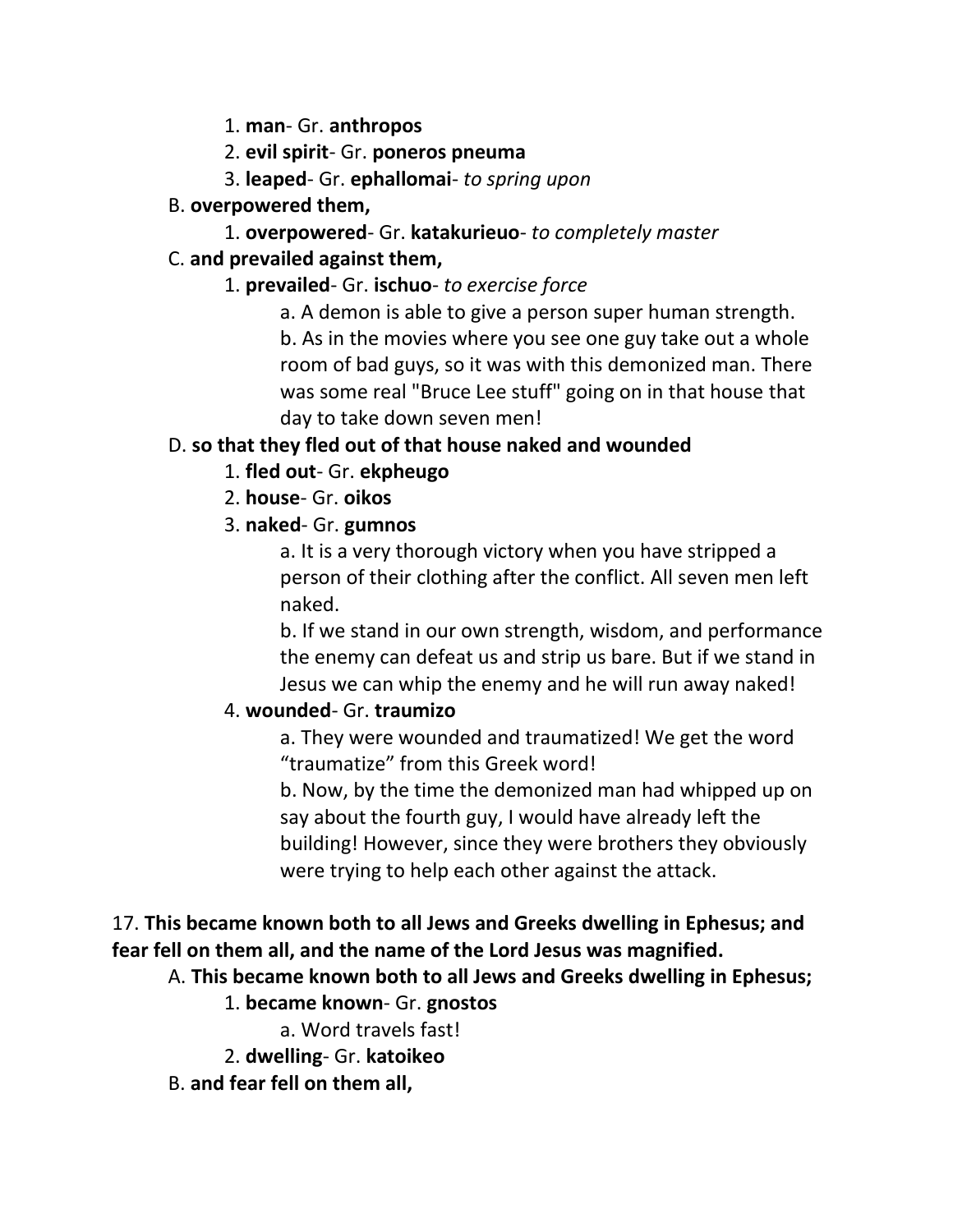- 1. **man** Gr. **anthropos**
- 2. **evil spirit** Gr. **poneros pneuma**
- 3. **leaped** Gr. **ephallomai** *to spring upon*

## B. **overpowered them,**

1. **overpowered**- Gr. **katakurieuo**- *to completely master* 

# C. **and prevailed against them,**

- 1. **prevailed** Gr. **ischuo** *to exercise force*
	- a. A demon is able to give a person super human strength.

b. As in the movies where you see one guy take out a whole room of bad guys, so it was with this demonized man. There was some real "Bruce Lee stuff" going on in that house that day to take down seven men!

# D. **so that they fled out of that house naked and wounded**

- 1. **fled out** Gr. **ekpheugo**
- 2. **house** Gr. **oikos**

# 3. **naked**- Gr. **gumnos**

a. It is a very thorough victory when you have stripped a person of their clothing after the conflict. All seven men left naked.

b. If we stand in our own strength, wisdom, and performance the enemy can defeat us and strip us bare. But if we stand in Jesus we can whip the enemy and he will run away naked!

# 4. **wounded**- Gr. **traumizo**

a. They were wounded and traumatized! We get the word "traumatize" from this Greek word!

b. Now, by the time the demonized man had whipped up on say about the fourth guy, I would have already left the building! However, since they were brothers they obviously were trying to help each other against the attack.

# 17. **This became known both to all Jews and Greeks dwelling in Ephesus; and fear fell on them all, and the name of the Lord Jesus was magnified.**

# A. **This became known both to all Jews and Greeks dwelling in Ephesus;**

# 1. **became known**- Gr. **gnostos**

a. Word travels fast!

- 2. **dwelling** Gr. **katoikeo**
- B. **and fear fell on them all,**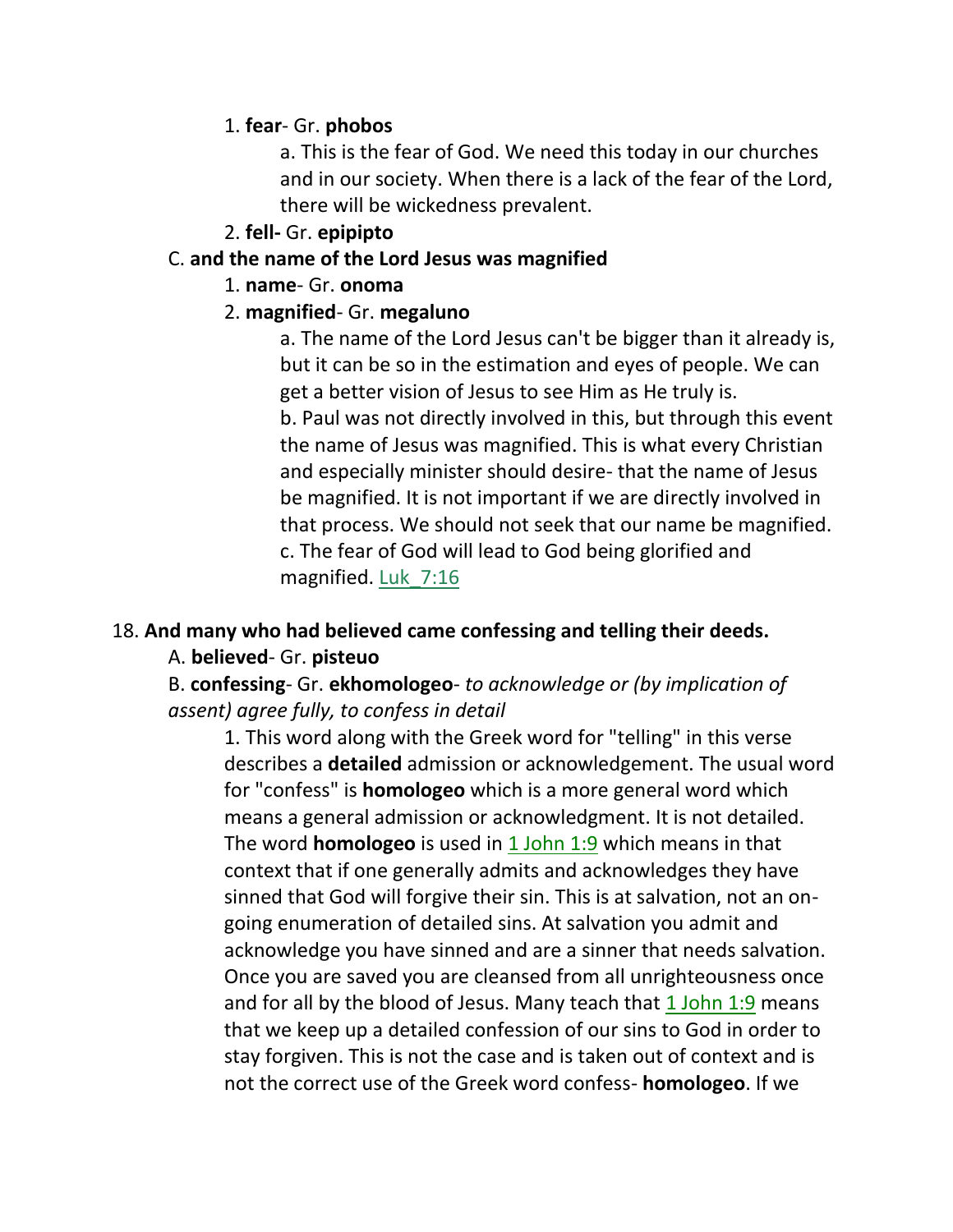#### 1. **fear**- Gr. **phobos**

a. This is the fear of God. We need this today in our churches and in our society. When there is a lack of the fear of the Lord, there will be wickedness prevalent.

#### 2. **fell-** Gr. **epipipto**

#### C. **and the name of the Lord Jesus was magnified**

#### 1. **name**- Gr. **onoma**

#### 2. **magnified**- Gr. **megaluno**

a. The name of the Lord Jesus can't be bigger than it already is, but it can be so in the estimation and eyes of people. We can get a better vision of Jesus to see Him as He truly is. b. Paul was not directly involved in this, but through this event the name of Jesus was magnified. This is what every Christian and especially minister should desire- that the name of Jesus be magnified. It is not important if we are directly involved in that process. We should not seek that our name be magnified. c. The fear of God will lead to God being glorified and magnified. Luk\_7:16

#### 18. **And many who had believed came confessing and telling their deeds.**

## A. **believed**- Gr. **pisteuo**

## B. **confessing**- Gr. **ekhomologeo**- *to acknowledge or (by implication of assent) agree fully, to confess in detail*

1. This word along with the Greek word for "telling" in this verse describes a **detailed** admission or acknowledgement. The usual word for "confess" is **homologeo** which is a more general word which means a general admission or acknowledgment. It is not detailed. The word **homologeo** is used in 1 John 1:9 which means in that context that if one generally admits and acknowledges they have sinned that God will forgive their sin. This is at salvation, not an ongoing enumeration of detailed sins. At salvation you admit and acknowledge you have sinned and are a sinner that needs salvation. Once you are saved you are cleansed from all unrighteousness once and for all by the blood of Jesus. Many teach that  $1$  John  $1:9$  means that we keep up a detailed confession of our sins to God in order to stay forgiven. This is not the case and is taken out of context and is not the correct use of the Greek word confess- **homologeo**. If we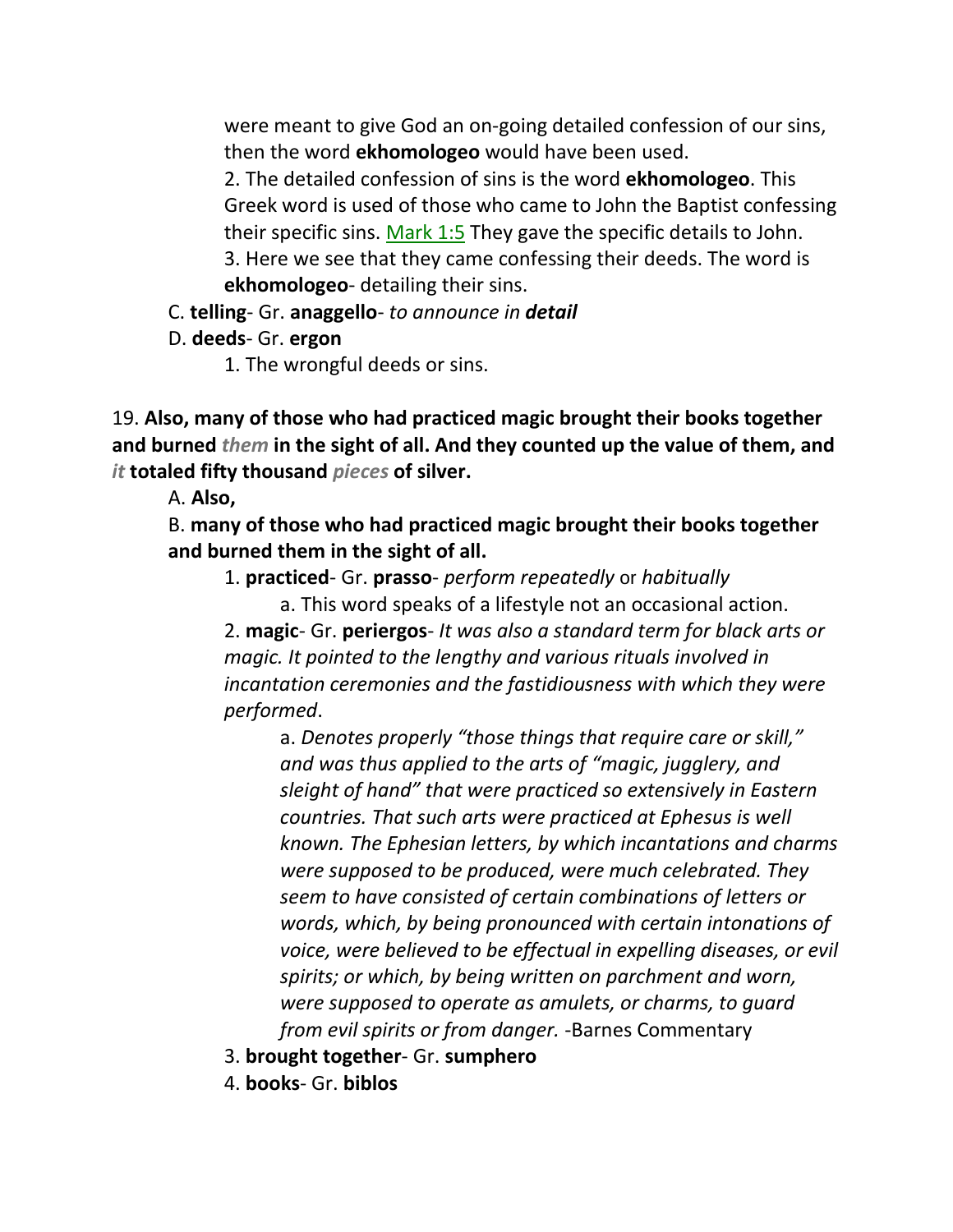were meant to give God an on-going detailed confession of our sins, then the word **ekhomologeo** would have been used.

2. The detailed confession of sins is the word **ekhomologeo**. This Greek word is used of those who came to John the Baptist confessing their specific sins. Mark 1:5 They gave the specific details to John. 3. Here we see that they came confessing their deeds. The word is **ekhomologeo**- detailing their sins.

- C. **telling** Gr. **anaggello** *to announce in detail*
- D. **deeds** Gr. **ergon**
	- 1. The wrongful deeds or sins.

19. **Also, many of those who had practiced magic brought their books together and burned** *them* **in the sight of all. And they counted up the value of them, and**  *it* **totaled fifty thousand** *pieces* **of silver.**

A. **Also,**

B. **many of those who had practiced magic brought their books together and burned them in the sight of all.**

1. **practiced**- Gr. **prasso**- *perform repeatedly* or *habitually*

a. This word speaks of a lifestyle not an occasional action.

2. **magic**- Gr. **periergos**- *It was also a standard term for black arts or magic. It pointed to the lengthy and various rituals involved in incantation ceremonies and the fastidiousness with which they were performed*.

a. *Denotes properly "those things that require care or skill," and was thus applied to the arts of "magic, jugglery, and sleight of hand" that were practiced so extensively in Eastern countries. That such arts were practiced at Ephesus is well known. The Ephesian letters, by which incantations and charms were supposed to be produced, were much celebrated. They seem to have consisted of certain combinations of letters or words, which, by being pronounced with certain intonations of voice, were believed to be effectual in expelling diseases, or evil spirits; or which, by being written on parchment and worn, were supposed to operate as amulets, or charms, to guard from evil spirits or from danger.* -Barnes Commentary

- 3. **brought together** Gr. **sumphero**
- 4. **books** Gr. **biblos**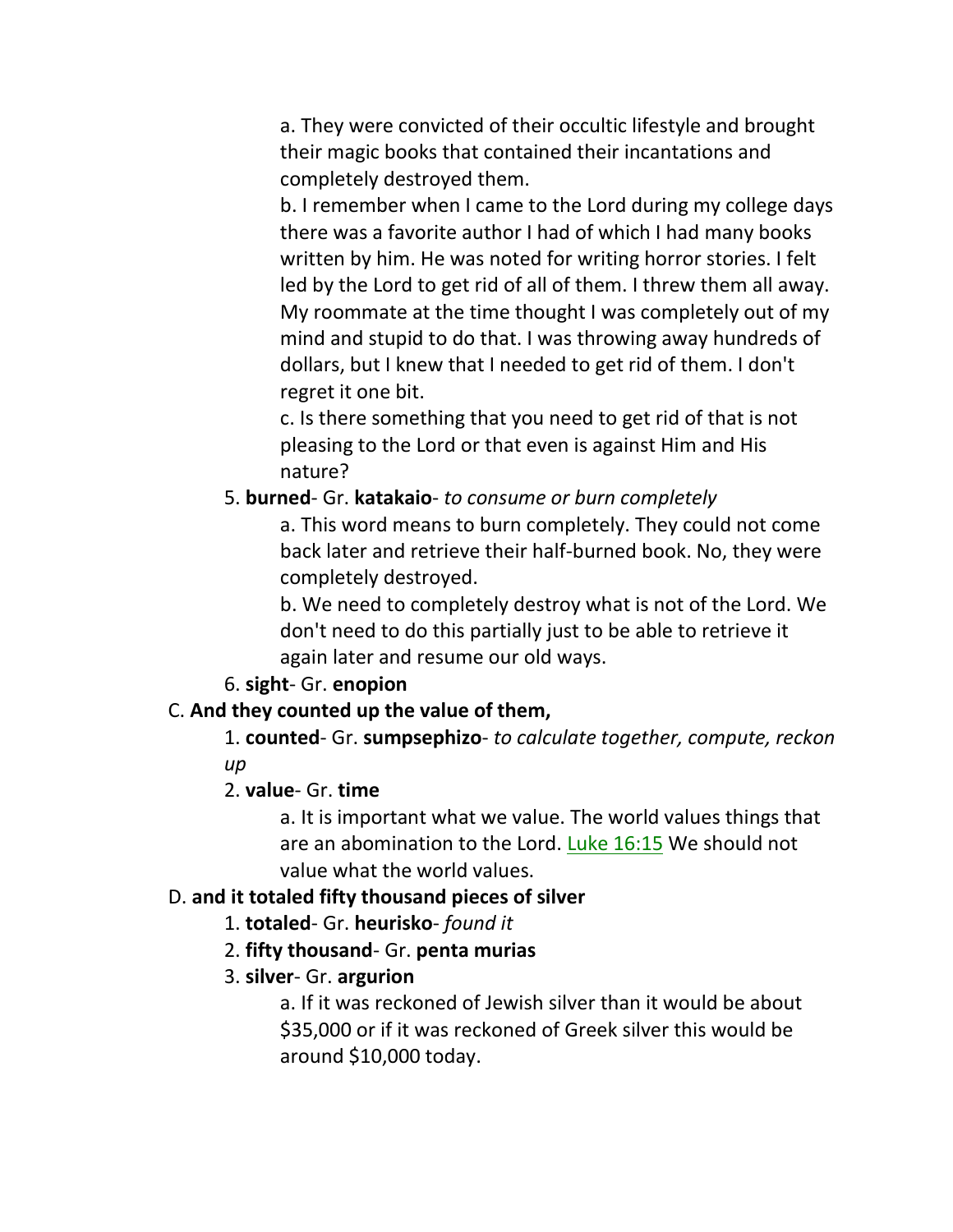a. They were convicted of their occultic lifestyle and brought their magic books that contained their incantations and completely destroyed them.

b. I remember when I came to the Lord during my college days there was a favorite author I had of which I had many books written by him. He was noted for writing horror stories. I felt led by the Lord to get rid of all of them. I threw them all away. My roommate at the time thought I was completely out of my mind and stupid to do that. I was throwing away hundreds of dollars, but I knew that I needed to get rid of them. I don't regret it one bit.

c. Is there something that you need to get rid of that is not pleasing to the Lord or that even is against Him and His nature?

#### 5. **burned**- Gr. **katakaio**- *to consume or burn completely*

a. This word means to burn completely. They could not come back later and retrieve their half-burned book. No, they were completely destroyed.

b. We need to completely destroy what is not of the Lord. We don't need to do this partially just to be able to retrieve it again later and resume our old ways.

6. **sight**- Gr. **enopion**

## C. **And they counted up the value of them,**

1. **counted**- Gr. **sumpsephizo**- *to calculate together, compute, reckon up*

#### 2. **value**- Gr. **time**

a. It is important what we value. The world values things that are an abomination to the Lord. Luke 16:15 We should not value what the world values.

#### D. **and it totaled fifty thousand pieces of silver**

- 1. **totaled** Gr. **heurisko** *found it*
- 2. **fifty thousand** Gr. **penta murias**

## 3. **silver**- Gr. **argurion**

a. If it was reckoned of Jewish silver than it would be about \$35,000 or if it was reckoned of Greek silver this would be around \$10,000 today.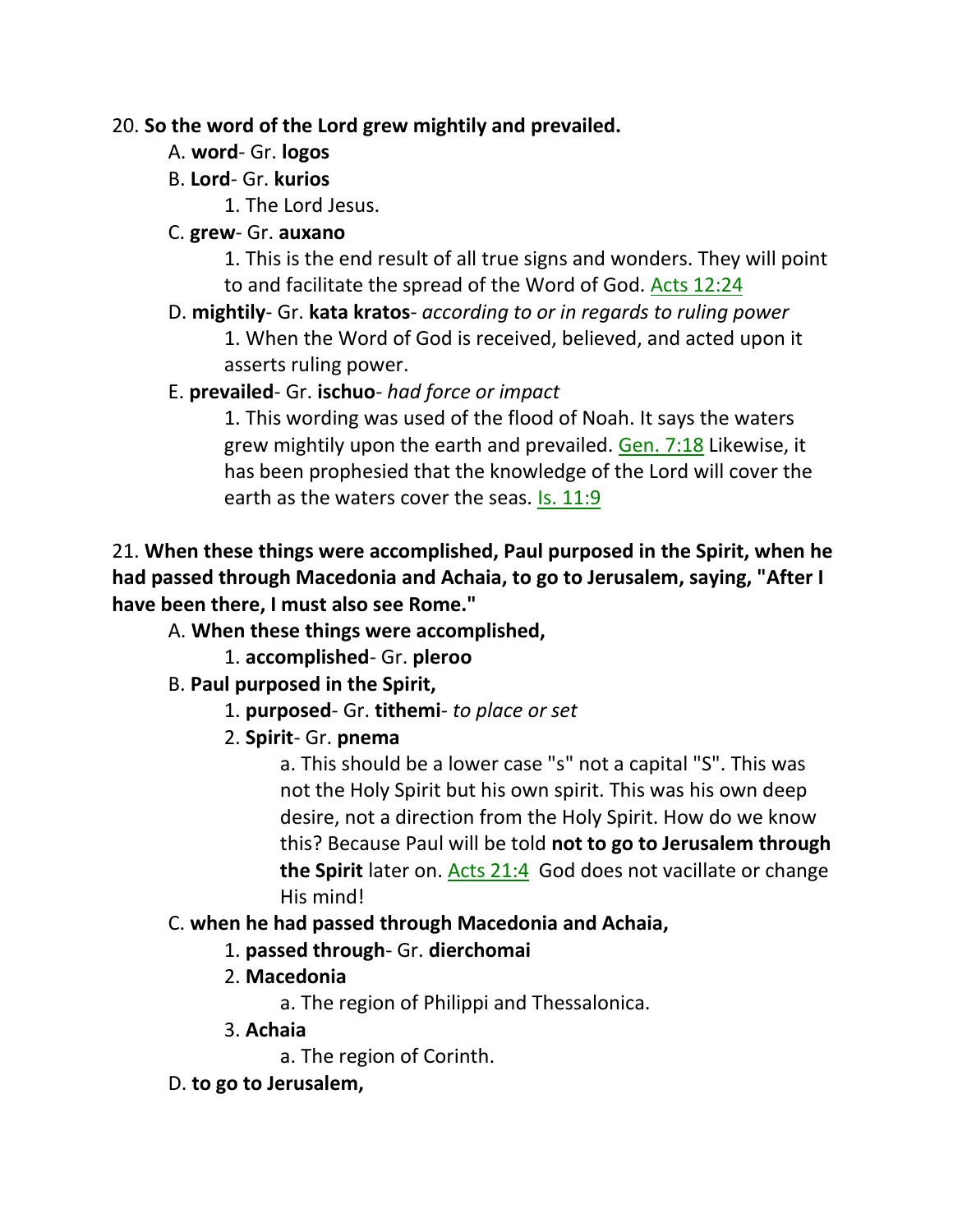## 20. **So the word of the Lord grew mightily and prevailed.**

- A. **word** Gr. **logos**
- B. **Lord** Gr. **kurios**
	- 1. The Lord Jesus.
- C. **grew** Gr. **auxano**

1. This is the end result of all true signs and wonders. They will point to and facilitate the spread of the Word of God. Acts 12:24

D. **mightily**- Gr. **kata kratos**- *according to or in regards to ruling power*

1. When the Word of God is received, believed, and acted upon it asserts ruling power.

E. **prevailed**- Gr. **ischuo**- *had force or impact*

1. This wording was used of the flood of Noah. It says the waters grew mightily upon the earth and prevailed. Gen. 7:18 Likewise, it has been prophesied that the knowledge of the Lord will cover the earth as the waters cover the seas. Is. 11:9

# 21. **When these things were accomplished, Paul purposed in the Spirit, when he had passed through Macedonia and Achaia, to go to Jerusalem, saying, "After I have been there, I must also see Rome."**

- A. **When these things were accomplished,**
	- 1. **accomplished** Gr. **pleroo**

# B. **Paul purposed in the Spirit,**

- 1. **purposed** Gr. **tithemi** *to place or set*
- 2. **Spirit** Gr. **pnema**

a. This should be a lower case "s" not a capital "S". This was not the Holy Spirit but his own spirit. This was his own deep desire, not a direction from the Holy Spirit. How do we know this? Because Paul will be told **not to go to Jerusalem through the Spirit** later on. Acts 21:4 God does not vacillate or change His mind!

- C. **when he had passed through Macedonia and Achaia,**
	- 1. **passed through** Gr. **dierchomai**
	- 2. **Macedonia**
		- a. The region of Philippi and Thessalonica.
	- 3. **Achaia**
		- a. The region of Corinth.
- D. **to go to Jerusalem,**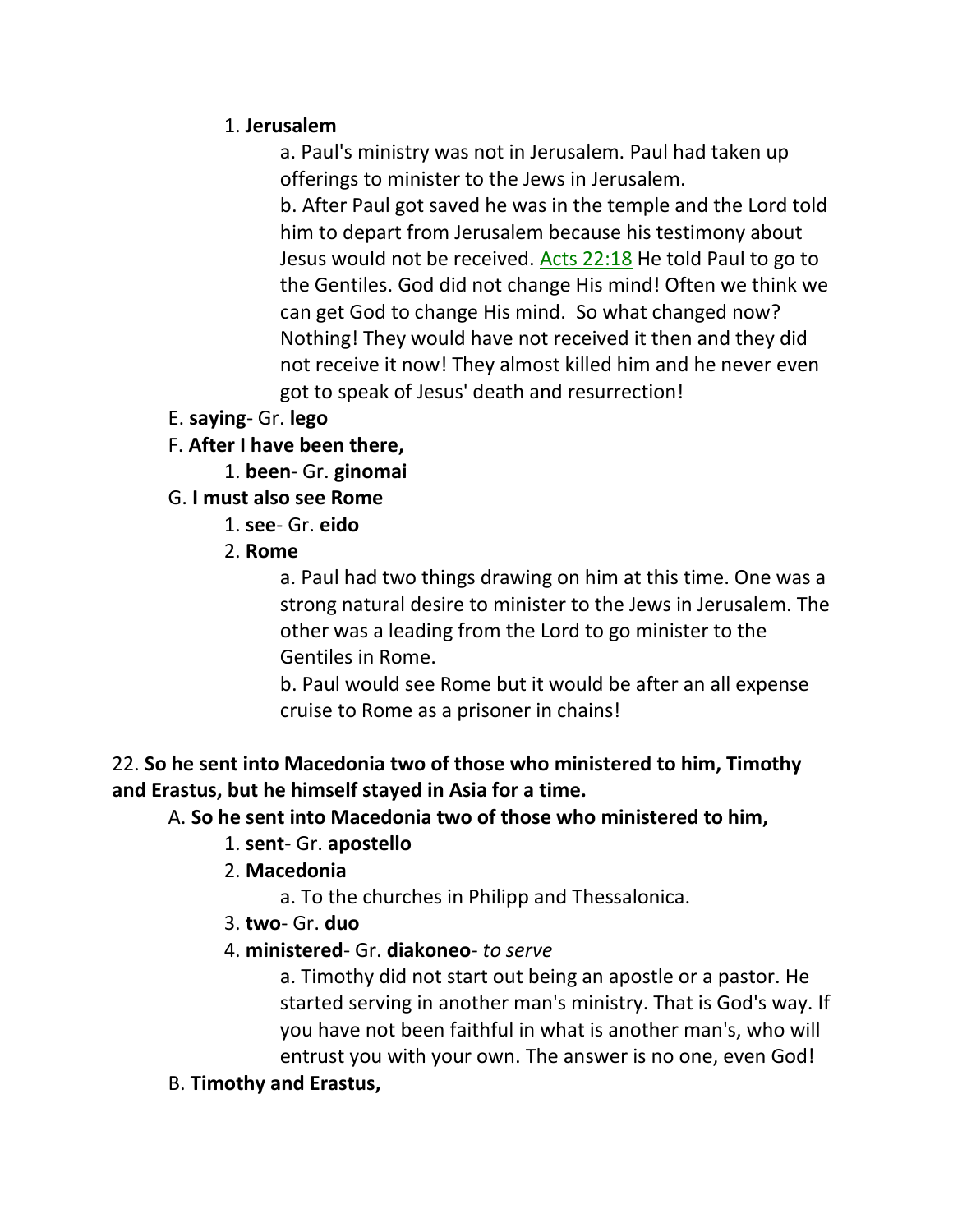#### 1. **Jerusalem**

a. Paul's ministry was not in Jerusalem. Paul had taken up offerings to minister to the Jews in Jerusalem.

b. After Paul got saved he was in the temple and the Lord told him to depart from Jerusalem because his testimony about Jesus would not be received. Acts 22:18 He told Paul to go to the Gentiles. God did not change His mind! Often we think we can get God to change His mind. So what changed now? Nothing! They would have not received it then and they did not receive it now! They almost killed him and he never even got to speak of Jesus' death and resurrection!

- E. **saying** Gr. **lego**
- F. **After I have been there,**

1. **been**- Gr. **ginomai**

G. **I must also see Rome**

- 1. **see** Gr. **eido**
- 2. **Rome**

a. Paul had two things drawing on him at this time. One was a strong natural desire to minister to the Jews in Jerusalem. The other was a leading from the Lord to go minister to the Gentiles in Rome.

b. Paul would see Rome but it would be after an all expense cruise to Rome as a prisoner in chains!

## 22. **So he sent into Macedonia two of those who ministered to him, Timothy and Erastus, but he himself stayed in Asia for a time.**

#### A. **So he sent into Macedonia two of those who ministered to him,**

## 1. **sent**- Gr. **apostello**

- 2. **Macedonia**
	- a. To the churches in Philipp and Thessalonica.
- 3. **two** Gr. **duo**
- 4. **ministered** Gr. **diakoneo** *to serve*

a. Timothy did not start out being an apostle or a pastor. He started serving in another man's ministry. That is God's way. If you have not been faithful in what is another man's, who will entrust you with your own. The answer is no one, even God!

B. **Timothy and Erastus,**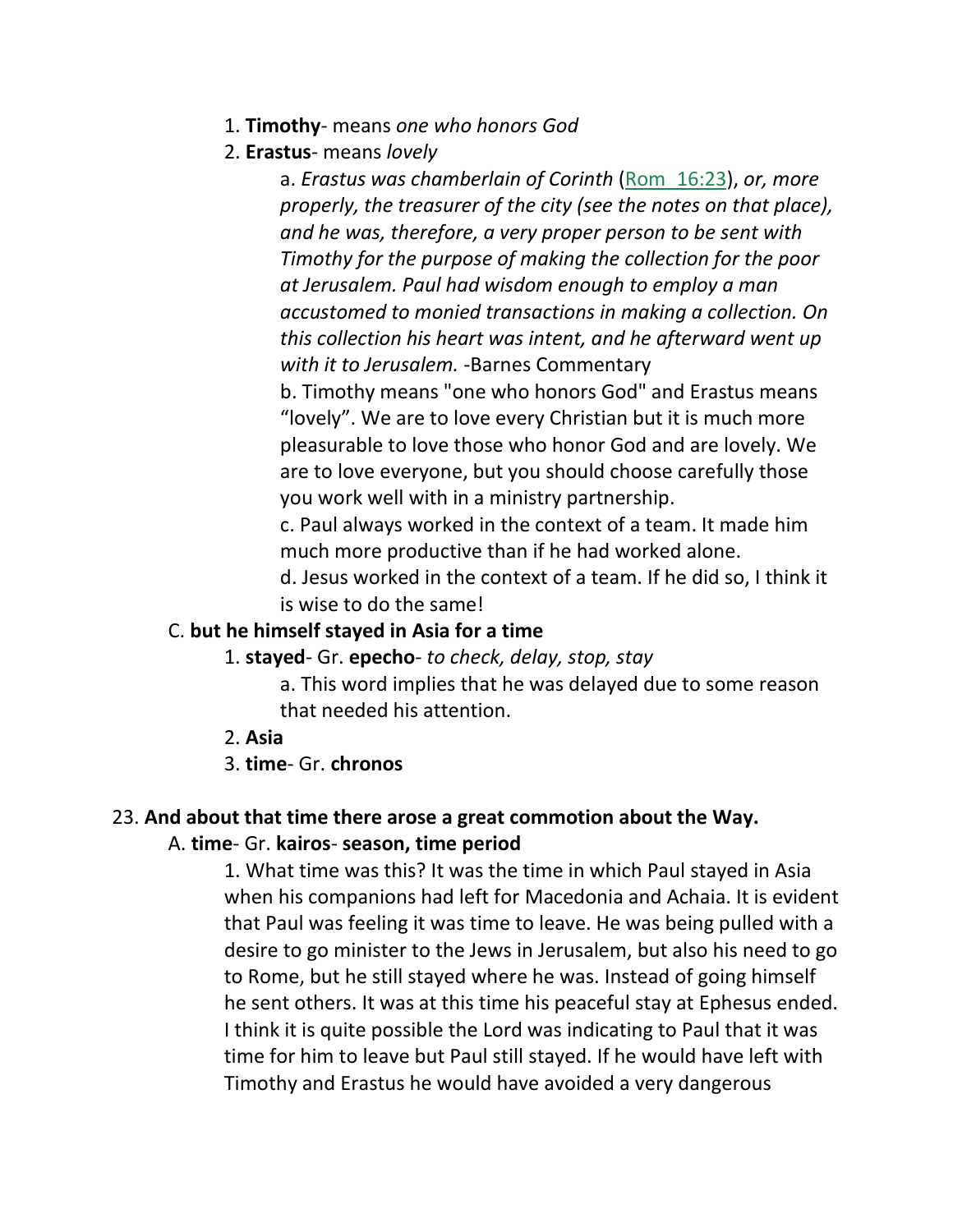- 1. **Timothy** means *one who honors God*
- 2. **Erastus** means *lovely*

a. *Erastus was chamberlain of Corinth* (Rom\_16:23), *or, more properly, the treasurer of the city (see the notes on that place), and he was, therefore, a very proper person to be sent with Timothy for the purpose of making the collection for the poor at Jerusalem. Paul had wisdom enough to employ a man accustomed to monied transactions in making a collection. On this collection his heart was intent, and he afterward went up with it to Jerusalem.* -Barnes Commentary

b. Timothy means "one who honors God" and Erastus means "lovely". We are to love every Christian but it is much more pleasurable to love those who honor God and are lovely. We are to love everyone, but you should choose carefully those you work well with in a ministry partnership.

c. Paul always worked in the context of a team. It made him much more productive than if he had worked alone.

d. Jesus worked in the context of a team. If he did so, I think it is wise to do the same!

#### C. **but he himself stayed in Asia for a time**

- 1. **stayed** Gr. **epecho** *to check, delay, stop, stay*
	- a. This word implies that he was delayed due to some reason that needed his attention.
- 2. **Asia**
- 3. **time** Gr. **chronos**

#### 23. **And about that time there arose a great commotion about the Way.**

#### A. **time**- Gr. **kairos**- **season, time period**

1. What time was this? It was the time in which Paul stayed in Asia when his companions had left for Macedonia and Achaia. It is evident that Paul was feeling it was time to leave. He was being pulled with a desire to go minister to the Jews in Jerusalem, but also his need to go to Rome, but he still stayed where he was. Instead of going himself he sent others. It was at this time his peaceful stay at Ephesus ended. I think it is quite possible the Lord was indicating to Paul that it was time for him to leave but Paul still stayed. If he would have left with Timothy and Erastus he would have avoided a very dangerous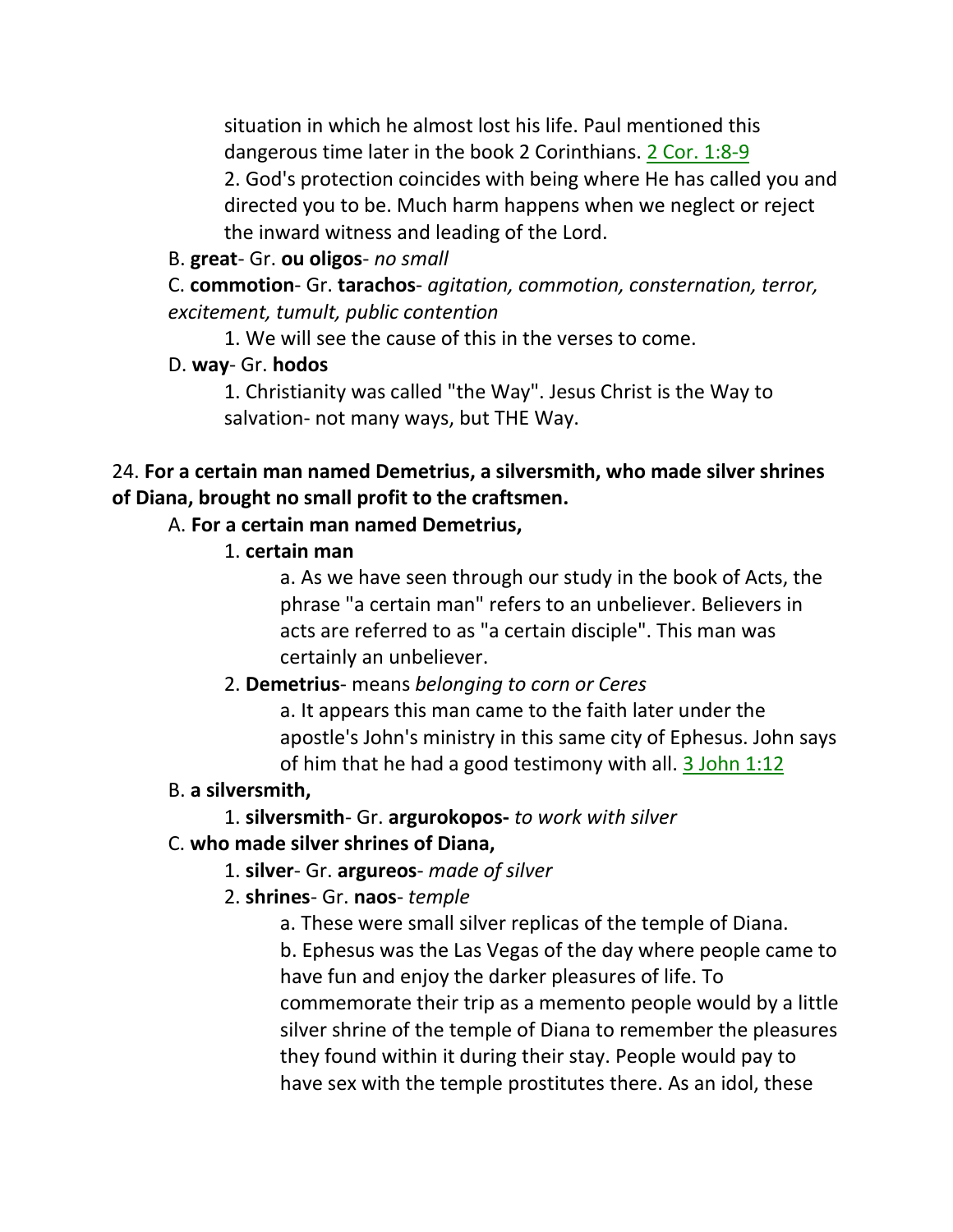situation in which he almost lost his life. Paul mentioned this dangerous time later in the book 2 Corinthians. 2 Cor. 1:8-9 2. God's protection coincides with being where He has called you and directed you to be. Much harm happens when we neglect or reject the inward witness and leading of the Lord.

B. **great**- Gr. **ou oligos**- *no small*

C. **commotion**- Gr. **tarachos**- *agitation, commotion, consternation, terror, excitement, tumult, public contention*

1. We will see the cause of this in the verses to come.

## D. **way**- Gr. **hodos**

1. Christianity was called "the Way". Jesus Christ is the Way to salvation- not many ways, but THE Way.

## 24. **For a certain man named Demetrius, a silversmith, who made silver shrines of Diana, brought no small profit to the craftsmen.**

## A. **For a certain man named Demetrius,**

1. **certain man**

a. As we have seen through our study in the book of Acts, the phrase "a certain man" refers to an unbeliever. Believers in acts are referred to as "a certain disciple". This man was certainly an unbeliever.

# 2. **Demetrius**- means *belonging to corn or Ceres*

a. It appears this man came to the faith later under the apostle's John's ministry in this same city of Ephesus. John says of him that he had a good testimony with all.  $3$  John 1:12

## B. **a silversmith,**

1. **silversmith**- Gr. **argurokopos-** *to work with silver*

# C. **who made silver shrines of Diana,**

# 1. **silver**- Gr. **argureos**- *made of silver*

# 2. **shrines**- Gr. **naos**- *temple*

a. These were small silver replicas of the temple of Diana.

b. Ephesus was the Las Vegas of the day where people came to have fun and enjoy the darker pleasures of life. To commemorate their trip as a memento people would by a little silver shrine of the temple of Diana to remember the pleasures they found within it during their stay. People would pay to have sex with the temple prostitutes there. As an idol, these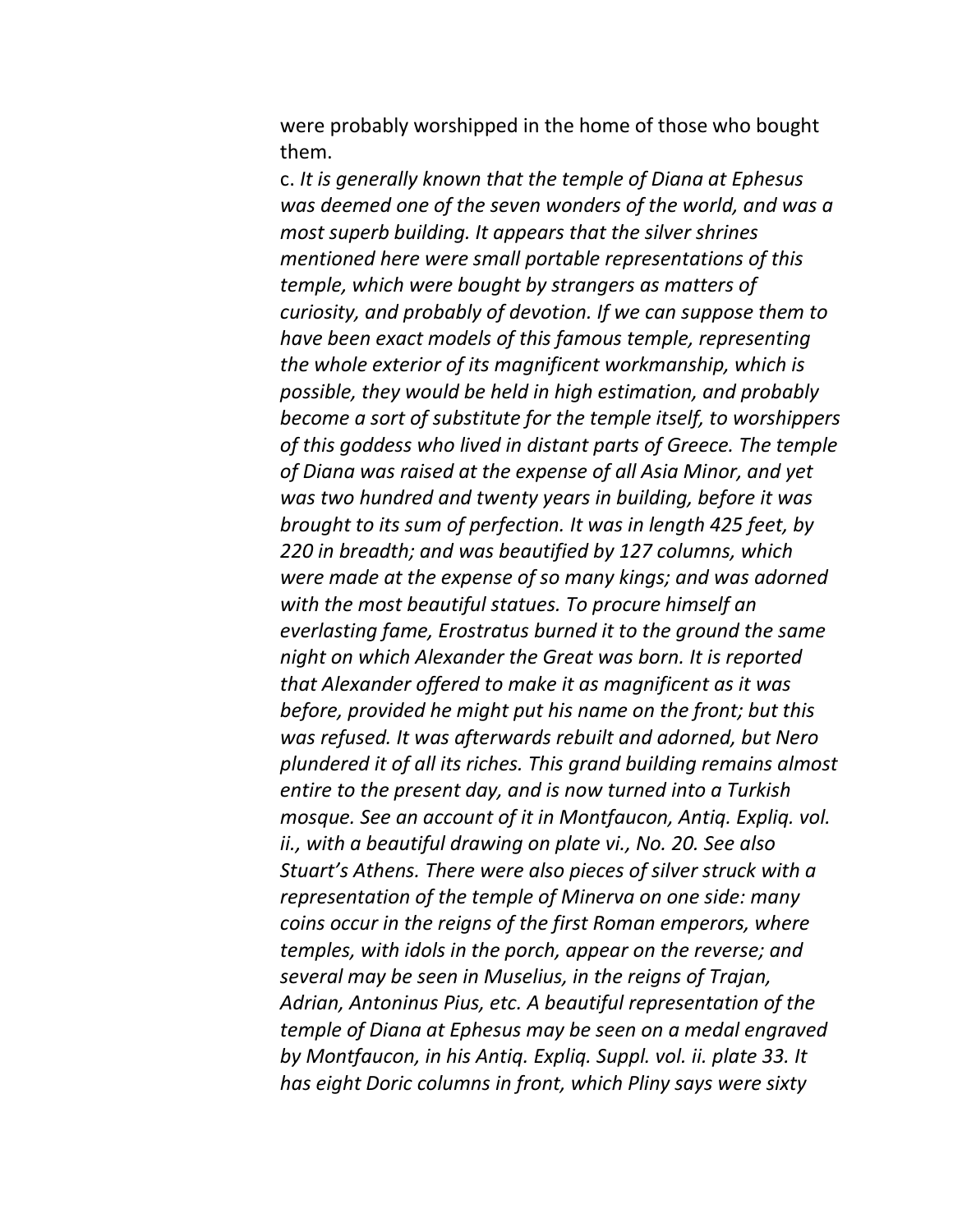were probably worshipped in the home of those who bought them.

c. *It is generally known that the temple of Diana at Ephesus was deemed one of the seven wonders of the world, and was a most superb building. It appears that the silver shrines mentioned here were small portable representations of this temple, which were bought by strangers as matters of curiosity, and probably of devotion. If we can suppose them to have been exact models of this famous temple, representing the whole exterior of its magnificent workmanship, which is possible, they would be held in high estimation, and probably become a sort of substitute for the temple itself, to worshippers of this goddess who lived in distant parts of Greece. The temple of Diana was raised at the expense of all Asia Minor, and yet was two hundred and twenty years in building, before it was brought to its sum of perfection. It was in length 425 feet, by 220 in breadth; and was beautified by 127 columns, which were made at the expense of so many kings; and was adorned with the most beautiful statues. To procure himself an everlasting fame, Erostratus burned it to the ground the same night on which Alexander the Great was born. It is reported that Alexander offered to make it as magnificent as it was before, provided he might put his name on the front; but this was refused. It was afterwards rebuilt and adorned, but Nero plundered it of all its riches. This grand building remains almost entire to the present day, and is now turned into a Turkish mosque. See an account of it in Montfaucon, Antiq. Expliq. vol. ii., with a beautiful drawing on plate vi., No. 20. See also Stuart's Athens. There were also pieces of silver struck with a representation of the temple of Minerva on one side: many coins occur in the reigns of the first Roman emperors, where temples, with idols in the porch, appear on the reverse; and several may be seen in Muselius, in the reigns of Trajan, Adrian, Antoninus Pius, etc. A beautiful representation of the temple of Diana at Ephesus may be seen on a medal engraved by Montfaucon, in his Antiq. Expliq. Suppl. vol. ii. plate 33. It has eight Doric columns in front, which Pliny says were sixty*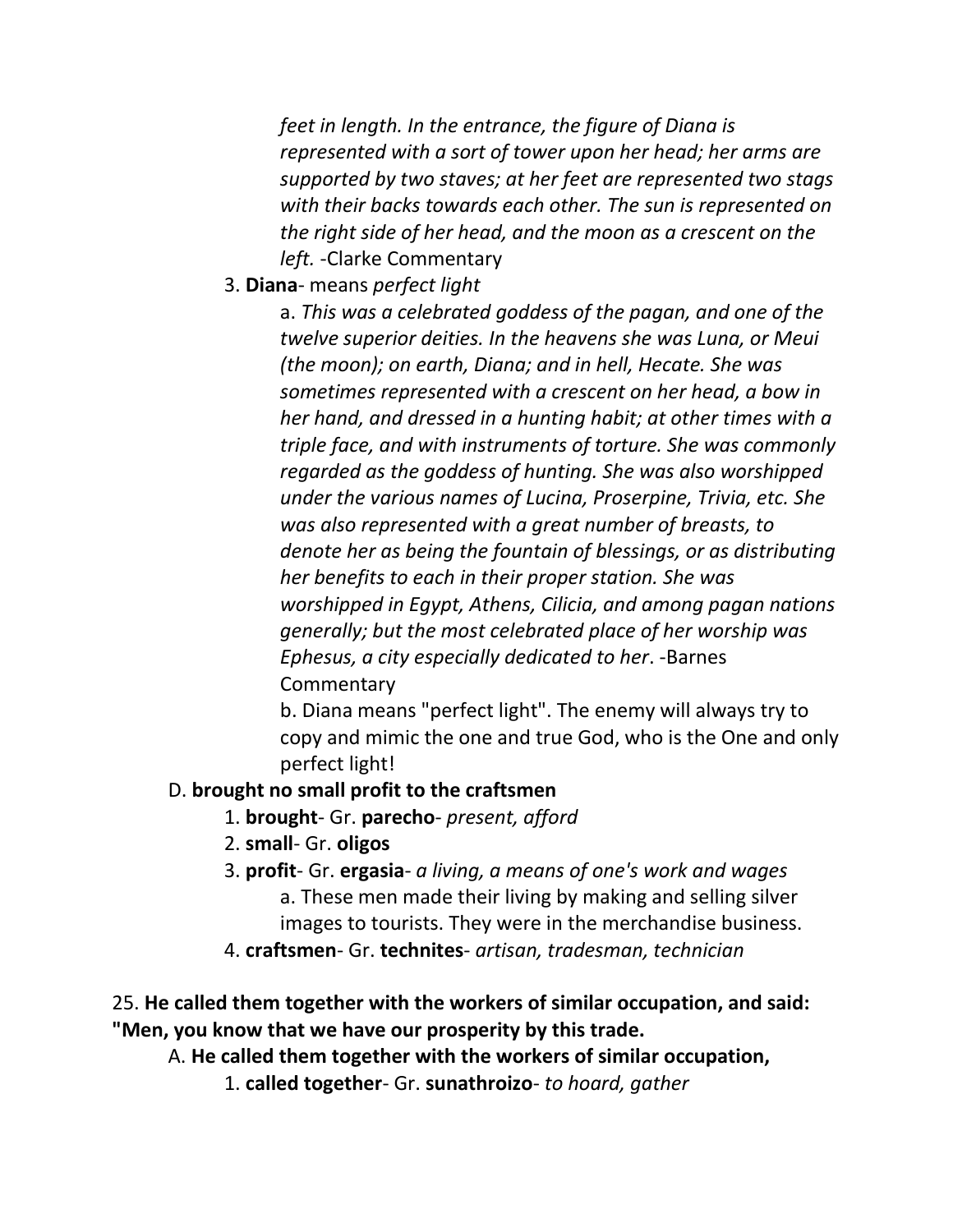*feet in length. In the entrance, the figure of Diana is represented with a sort of tower upon her head; her arms are supported by two staves; at her feet are represented two stags with their backs towards each other. The sun is represented on the right side of her head, and the moon as a crescent on the left.* -Clarke Commentary

3. **Diana**- means *perfect light*

a. *This was a celebrated goddess of the pagan, and one of the twelve superior deities. In the heavens she was Luna, or Meui (the moon); on earth, Diana; and in hell, Hecate. She was sometimes represented with a crescent on her head, a bow in her hand, and dressed in a hunting habit; at other times with a triple face, and with instruments of torture. She was commonly regarded as the goddess of hunting. She was also worshipped under the various names of Lucina, Proserpine, Trivia, etc. She was also represented with a great number of breasts, to denote her as being the fountain of blessings, or as distributing her benefits to each in their proper station. She was worshipped in Egypt, Athens, Cilicia, and among pagan nations generally; but the most celebrated place of her worship was Ephesus, a city especially dedicated to her*. -Barnes **Commentary** 

b. Diana means "perfect light". The enemy will always try to copy and mimic the one and true God, who is the One and only perfect light!

#### D. **brought no small profit to the craftsmen**

- 1. **brought** Gr. **parecho** *present, afford*
- 2. **small** Gr. **oligos**
- 3. **profit** Gr. **ergasia** *a living, a means of one's work and wages* a. These men made their living by making and selling silver images to tourists. They were in the merchandise business.
- 4. **craftsmen** Gr. **technites** *artisan, tradesman, technician*

25. **He called them together with the workers of similar occupation, and said: "Men, you know that we have our prosperity by this trade.**

A. **He called them together with the workers of similar occupation,**

1. **called together**- Gr. **sunathroizo**- *to hoard, gather*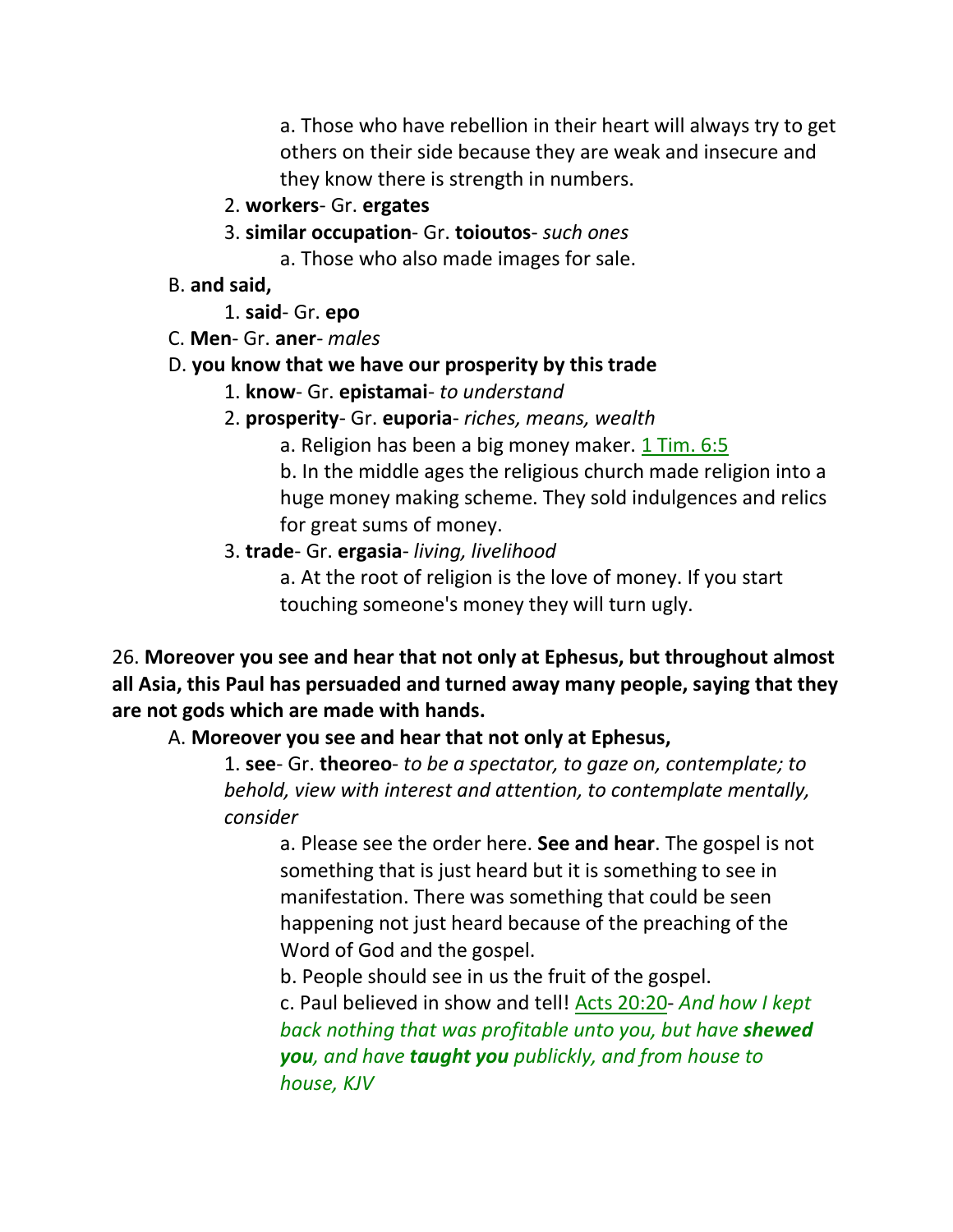a. Those who have rebellion in their heart will always try to get others on their side because they are weak and insecure and they know there is strength in numbers.

#### 2. **workers**- Gr. **ergates**

3. **similar occupation**- Gr. **toioutos**- *such ones*

a. Those who also made images for sale.

B. **and said,**

1. **said**- Gr. **epo**

C. **Men**- Gr. **aner**- *males*

#### D. **you know that we have our prosperity by this trade**

- 1. **know** Gr. **epistamai** *to understand*
- 2. **prosperity** Gr. **euporia** *riches, means, wealth*

a. Religion has been a big money maker. 1 Tim. 6:5

b. In the middle ages the religious church made religion into a huge money making scheme. They sold indulgences and relics for great sums of money.

3. **trade**- Gr. **ergasia**- *living, livelihood*

a. At the root of religion is the love of money. If you start touching someone's money they will turn ugly.

26. **Moreover you see and hear that not only at Ephesus, but throughout almost all Asia, this Paul has persuaded and turned away many people, saying that they are not gods which are made with hands.**

#### A. **Moreover you see and hear that not only at Ephesus,**

1. **see**- Gr. **theoreo**- *to be a spectator, to gaze on, contemplate; to behold, view with interest and attention, to contemplate mentally, consider*

a. Please see the order here. **See and hear**. The gospel is not something that is just heard but it is something to see in manifestation. There was something that could be seen happening not just heard because of the preaching of the Word of God and the gospel.

b. People should see in us the fruit of the gospel.

c. Paul believed in show and tell! Acts 20:20- *And how I kept back nothing that was profitable unto you, but have shewed you, and have taught you publickly, and from house to house, KJV*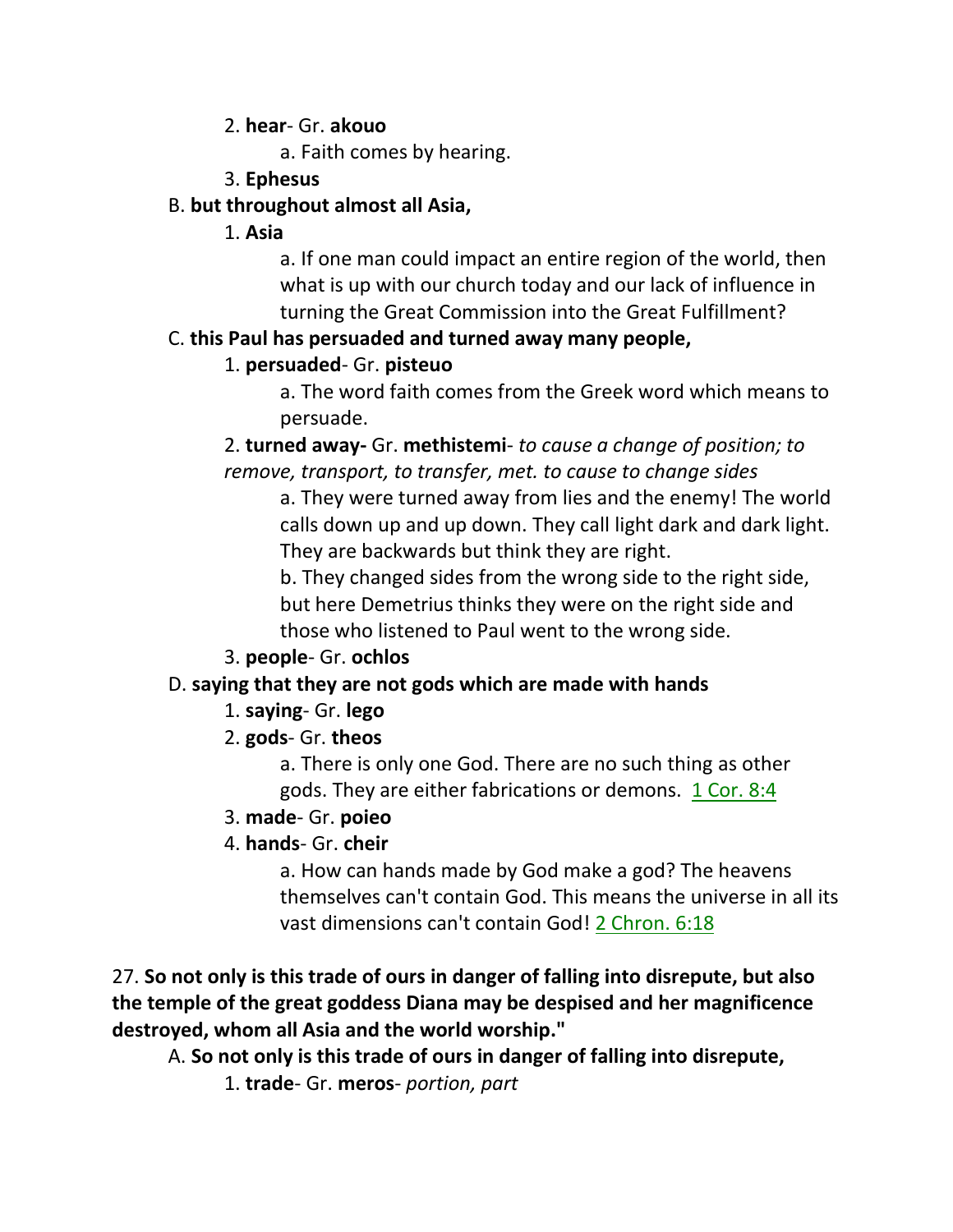#### 2. **hear**- Gr. **akouo**

a. Faith comes by hearing.

3. **Ephesus**

## B. **but throughout almost all Asia,**

1. **Asia**

a. If one man could impact an entire region of the world, then what is up with our church today and our lack of influence in turning the Great Commission into the Great Fulfillment?

# C. **this Paul has persuaded and turned away many people,**

# 1. **persuaded**- Gr. **pisteuo**

a. The word faith comes from the Greek word which means to persuade.

2. **turned away-** Gr. **methistemi**- *to cause a change of position; to remove, transport, to transfer, met. to cause to change sides*

a. They were turned away from lies and the enemy! The world calls down up and up down. They call light dark and dark light. They are backwards but think they are right.

b. They changed sides from the wrong side to the right side, but here Demetrius thinks they were on the right side and those who listened to Paul went to the wrong side.

3. **people**- Gr. **ochlos**

# D. **saying that they are not gods which are made with hands**

- 1. **saying** Gr. **lego**
- 2. **gods** Gr. **theos**

a. There is only one God. There are no such thing as other gods. They are either fabrications or demons. 1 Cor. 8:4

- 3. **made** Gr. **poieo**
- 4. **hands** Gr. **cheir**

a. How can hands made by God make a god? The heavens themselves can't contain God. This means the universe in all its vast dimensions can't contain God! 2 Chron. 6:18

27. **So not only is this trade of ours in danger of falling into disrepute, but also the temple of the great goddess Diana may be despised and her magnificence destroyed, whom all Asia and the world worship."**

A. **So not only is this trade of ours in danger of falling into disrepute,**

1. **trade**- Gr. **meros**- *portion, part*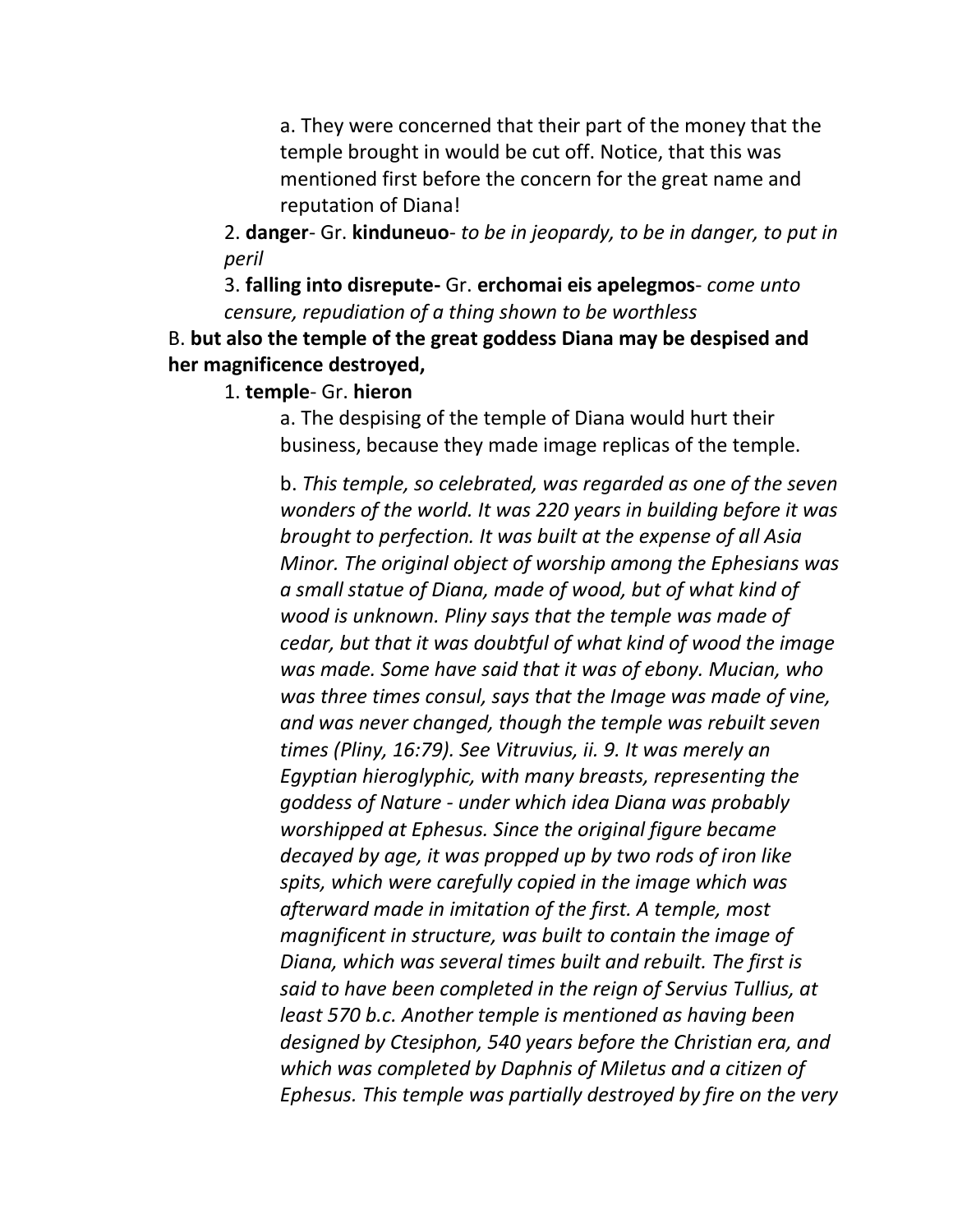a. They were concerned that their part of the money that the temple brought in would be cut off. Notice, that this was mentioned first before the concern for the great name and reputation of Diana!

2. **danger**- Gr. **kinduneuo**- *to be in jeopardy, to be in danger, to put in peril*

3. **falling into disrepute-** Gr. **erchomai eis apelegmos**- *come unto censure, repudiation of a thing shown to be worthless*

B. **but also the temple of the great goddess Diana may be despised and her magnificence destroyed,**

1. **temple**- Gr. **hieron**

a. The despising of the temple of Diana would hurt their business, because they made image replicas of the temple.

b. *This temple, so celebrated, was regarded as one of the seven wonders of the world. It was 220 years in building before it was brought to perfection. It was built at the expense of all Asia Minor. The original object of worship among the Ephesians was a small statue of Diana, made of wood, but of what kind of wood is unknown. Pliny says that the temple was made of cedar, but that it was doubtful of what kind of wood the image was made. Some have said that it was of ebony. Mucian, who was three times consul, says that the Image was made of vine, and was never changed, though the temple was rebuilt seven times (Pliny, 16:79). See Vitruvius, ii. 9. It was merely an Egyptian hieroglyphic, with many breasts, representing the goddess of Nature - under which idea Diana was probably worshipped at Ephesus. Since the original figure became decayed by age, it was propped up by two rods of iron like spits, which were carefully copied in the image which was afterward made in imitation of the first. A temple, most magnificent in structure, was built to contain the image of Diana, which was several times built and rebuilt. The first is said to have been completed in the reign of Servius Tullius, at least 570 b.c. Another temple is mentioned as having been designed by Ctesiphon, 540 years before the Christian era, and which was completed by Daphnis of Miletus and a citizen of Ephesus. This temple was partially destroyed by fire on the very*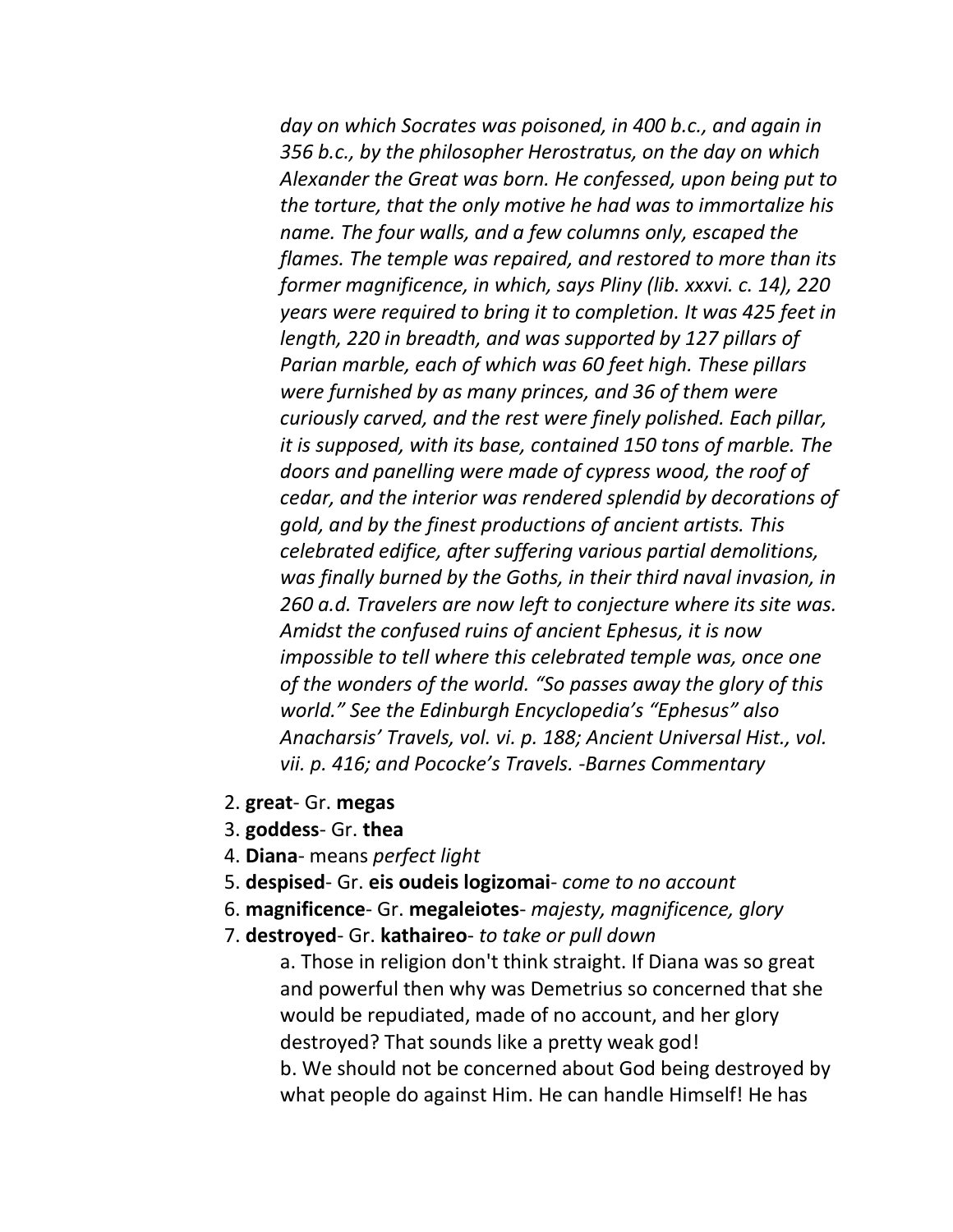*day on which Socrates was poisoned, in 400 b.c., and again in 356 b.c., by the philosopher Herostratus, on the day on which Alexander the Great was born. He confessed, upon being put to the torture, that the only motive he had was to immortalize his name. The four walls, and a few columns only, escaped the flames. The temple was repaired, and restored to more than its former magnificence, in which, says Pliny (lib. xxxvi. c. 14), 220 years were required to bring it to completion. It was 425 feet in length, 220 in breadth, and was supported by 127 pillars of Parian marble, each of which was 60 feet high. These pillars were furnished by as many princes, and 36 of them were curiously carved, and the rest were finely polished. Each pillar, it is supposed, with its base, contained 150 tons of marble. The doors and panelling were made of cypress wood, the roof of cedar, and the interior was rendered splendid by decorations of gold, and by the finest productions of ancient artists. This celebrated edifice, after suffering various partial demolitions, was finally burned by the Goths, in their third naval invasion, in 260 a.d. Travelers are now left to conjecture where its site was. Amidst the confused ruins of ancient Ephesus, it is now impossible to tell where this celebrated temple was, once one of the wonders of the world. "So passes away the glory of this world." See the Edinburgh Encyclopedia's "Ephesus" also Anacharsis' Travels, vol. vi. p. 188; Ancient Universal Hist., vol. vii. p. 416; and Pococke's Travels. -Barnes Commentary*

- 2. **great** Gr. **megas**
- 3. **goddess** Gr. **thea**
- 4. **Diana** means *perfect light*
- 5. **despised** Gr. **eis oudeis logizomai** *come to no account*
- 6. **magnificence** Gr. **megaleiotes** *majesty, magnificence, glory*
- 7. **destroyed** Gr. **kathaireo** *to take or pull down*

a. Those in religion don't think straight. If Diana was so great and powerful then why was Demetrius so concerned that she would be repudiated, made of no account, and her glory destroyed? That sounds like a pretty weak god! b. We should not be concerned about God being destroyed by what people do against Him. He can handle Himself! He has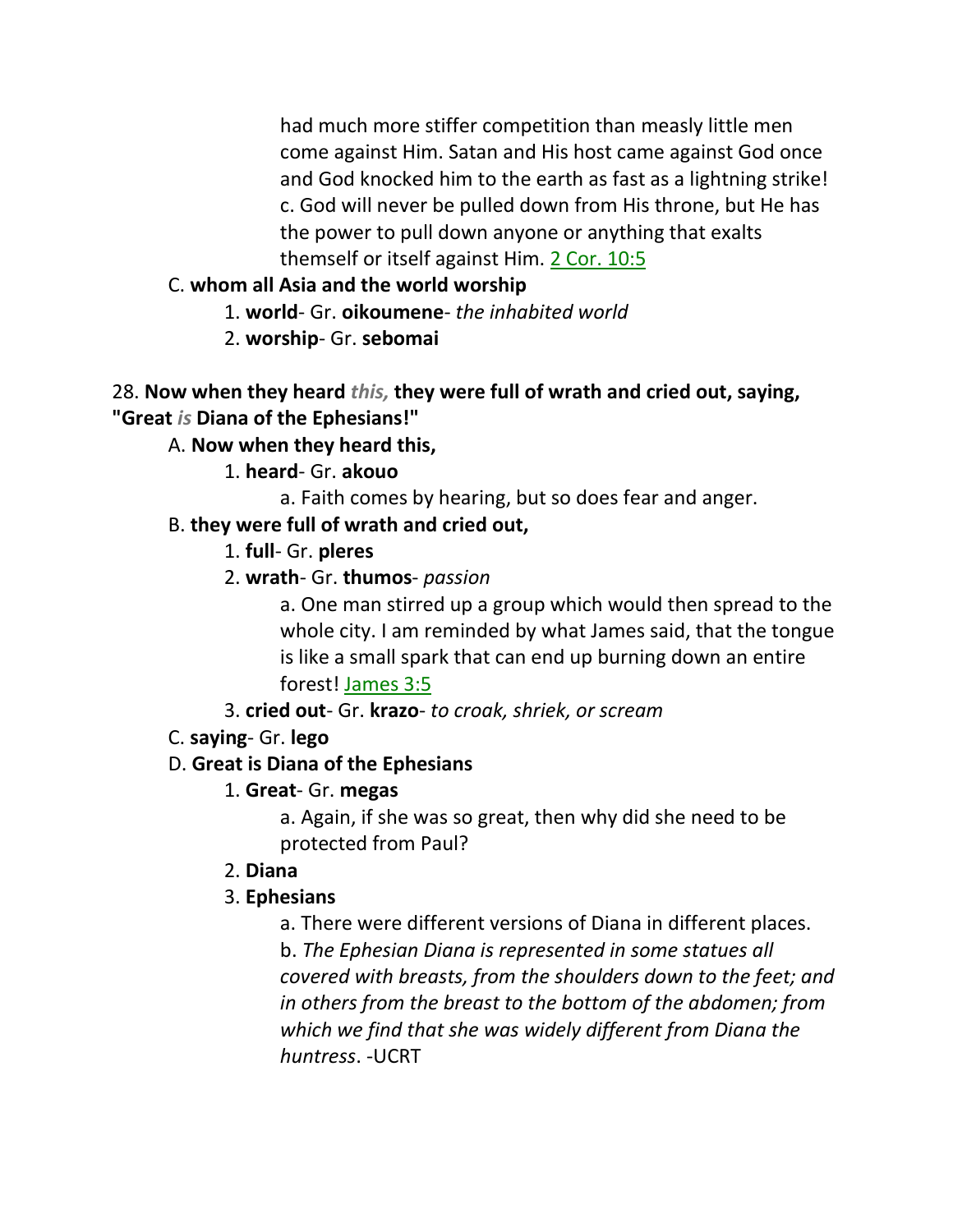had much more stiffer competition than measly little men come against Him. Satan and His host came against God once and God knocked him to the earth as fast as a lightning strike! c. God will never be pulled down from His throne, but He has the power to pull down anyone or anything that exalts themself or itself against Him. 2 Cor. 10:5

## C. **whom all Asia and the world worship**

1. **world**- Gr. **oikoumene**- *the inhabited world*

2. **worship**- Gr. **sebomai**

## 28. **Now when they heard** *this,* **they were full of wrath and cried out, saying, "Great** *is* **Diana of the Ephesians!"**

# A. **Now when they heard this,**

1. **heard**- Gr. **akouo**

a. Faith comes by hearing, but so does fear and anger.

# B. **they were full of wrath and cried out,**

1. **full**- Gr. **pleres**

2. **wrath**- Gr. **thumos**- *passion*

a. One man stirred up a group which would then spread to the whole city. I am reminded by what James said, that the tongue is like a small spark that can end up burning down an entire forest! James 3:5

3. **cried out**- Gr. **krazo**- *to croak, shriek, or scream*

C. **saying**- Gr. **lego**

# D. **Great is Diana of the Ephesians**

# 1. **Great**- Gr. **megas**

a. Again, if she was so great, then why did she need to be protected from Paul?

# 2. **Diana**

# 3. **Ephesians**

a. There were different versions of Diana in different places.

b. *The Ephesian Diana is represented in some statues all covered with breasts, from the shoulders down to the feet; and in others from the breast to the bottom of the abdomen; from which we find that she was widely different from Diana the huntress*. -UCRT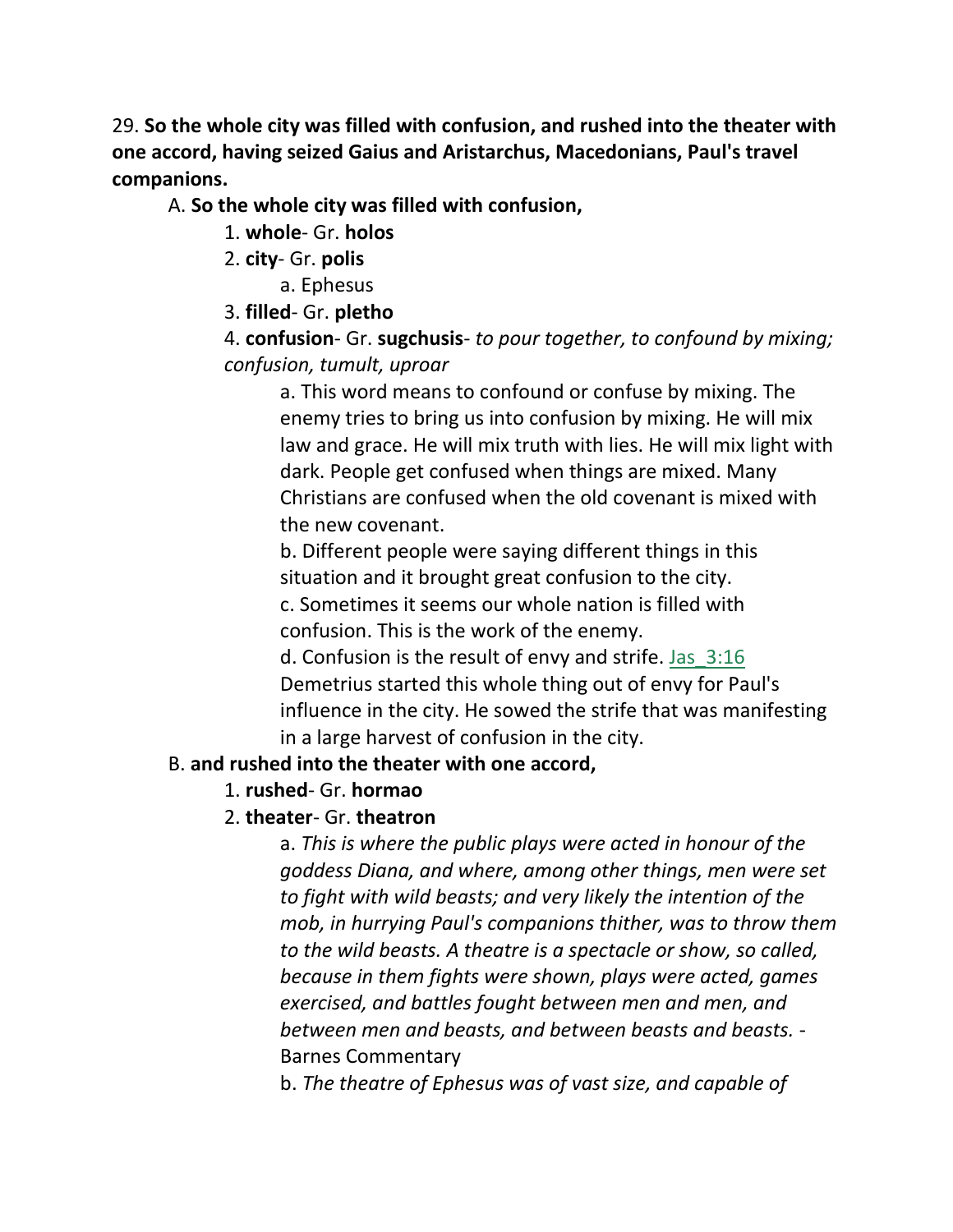29. **So the whole city was filled with confusion, and rushed into the theater with one accord, having seized Gaius and Aristarchus, Macedonians, Paul's travel companions.**

A. **So the whole city was filled with confusion,**

1. **whole**- Gr. **holos**

- 2. **city** Gr. **polis**
	- a. Ephesus

3. **filled**- Gr. **pletho**

4. **confusion**- Gr. **sugchusis**- *to pour together, to confound by mixing; confusion, tumult, uproar*

a. This word means to confound or confuse by mixing. The enemy tries to bring us into confusion by mixing. He will mix law and grace. He will mix truth with lies. He will mix light with dark. People get confused when things are mixed. Many Christians are confused when the old covenant is mixed with the new covenant.

b. Different people were saying different things in this situation and it brought great confusion to the city.

c. Sometimes it seems our whole nation is filled with confusion. This is the work of the enemy.

d. Confusion is the result of envy and strife. Jas\_3:16 Demetrius started this whole thing out of envy for Paul's influence in the city. He sowed the strife that was manifesting in a large harvest of confusion in the city.

## B. **and rushed into the theater with one accord,**

## 1. **rushed**- Gr. **hormao**

## 2. **theater**- Gr. **theatron**

a. *This is where the public plays were acted in honour of the goddess Diana, and where, among other things, men were set to fight with wild beasts; and very likely the intention of the mob, in hurrying Paul's companions thither, was to throw them to the wild beasts. A theatre is a spectacle or show, so called, because in them fights were shown, plays were acted, games exercised, and battles fought between men and men, and between men and beasts, and between beasts and beasts.* - Barnes Commentary

b. *The theatre of Ephesus was of vast size, and capable of*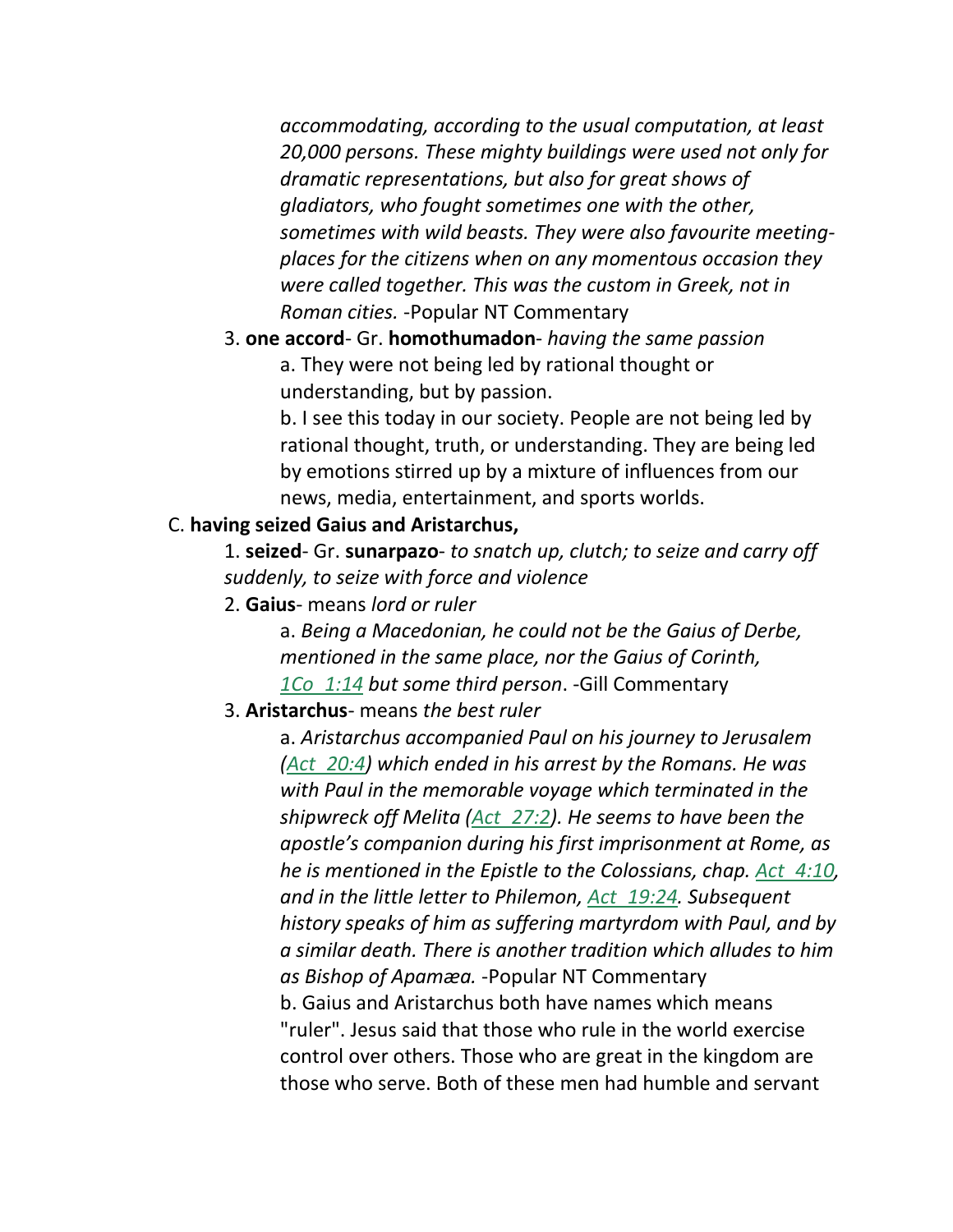*accommodating, according to the usual computation, at least 20,000 persons. These mighty buildings were used not only for dramatic representations, but also for great shows of gladiators, who fought sometimes one with the other, sometimes with wild beasts. They were also favourite meetingplaces for the citizens when on any momentous occasion they were called together. This was the custom in Greek, not in Roman cities.* -Popular NT Commentary

3. **one accord**- Gr. **homothumadon**- *having the same passion* a. They were not being led by rational thought or understanding, but by passion.

> b. I see this today in our society. People are not being led by rational thought, truth, or understanding. They are being led by emotions stirred up by a mixture of influences from our news, media, entertainment, and sports worlds.

#### C. **having seized Gaius and Aristarchus,**

1. **seized**- Gr. **sunarpazo**- *to snatch up, clutch; to seize and carry off suddenly, to seize with force and violence*

2. **Gaius**- means *lord or ruler*

a. *Being a Macedonian, he could not be the Gaius of Derbe, mentioned in the same place, nor the Gaius of Corinth, 1Co\_1:14 but some third person*. -Gill Commentary

#### 3. **Aristarchus**- means *the best ruler*

a. *Aristarchus accompanied Paul on his journey to Jerusalem (Act\_20:4) which ended in his arrest by the Romans. He was with Paul in the memorable voyage which terminated in the shipwreck off Melita (Act\_27:2). He seems to have been the apostle's companion during his first imprisonment at Rome, as he is mentioned in the Epistle to the Colossians, chap. Act\_4:10, and in the little letter to Philemon, Act\_19:24. Subsequent history speaks of him as suffering martyrdom with Paul, and by a similar death. There is another tradition which alludes to him as Bishop of Apamæa.* -Popular NT Commentary b. Gaius and Aristarchus both have names which means "ruler". Jesus said that those who rule in the world exercise control over others. Those who are great in the kingdom are those who serve. Both of these men had humble and servant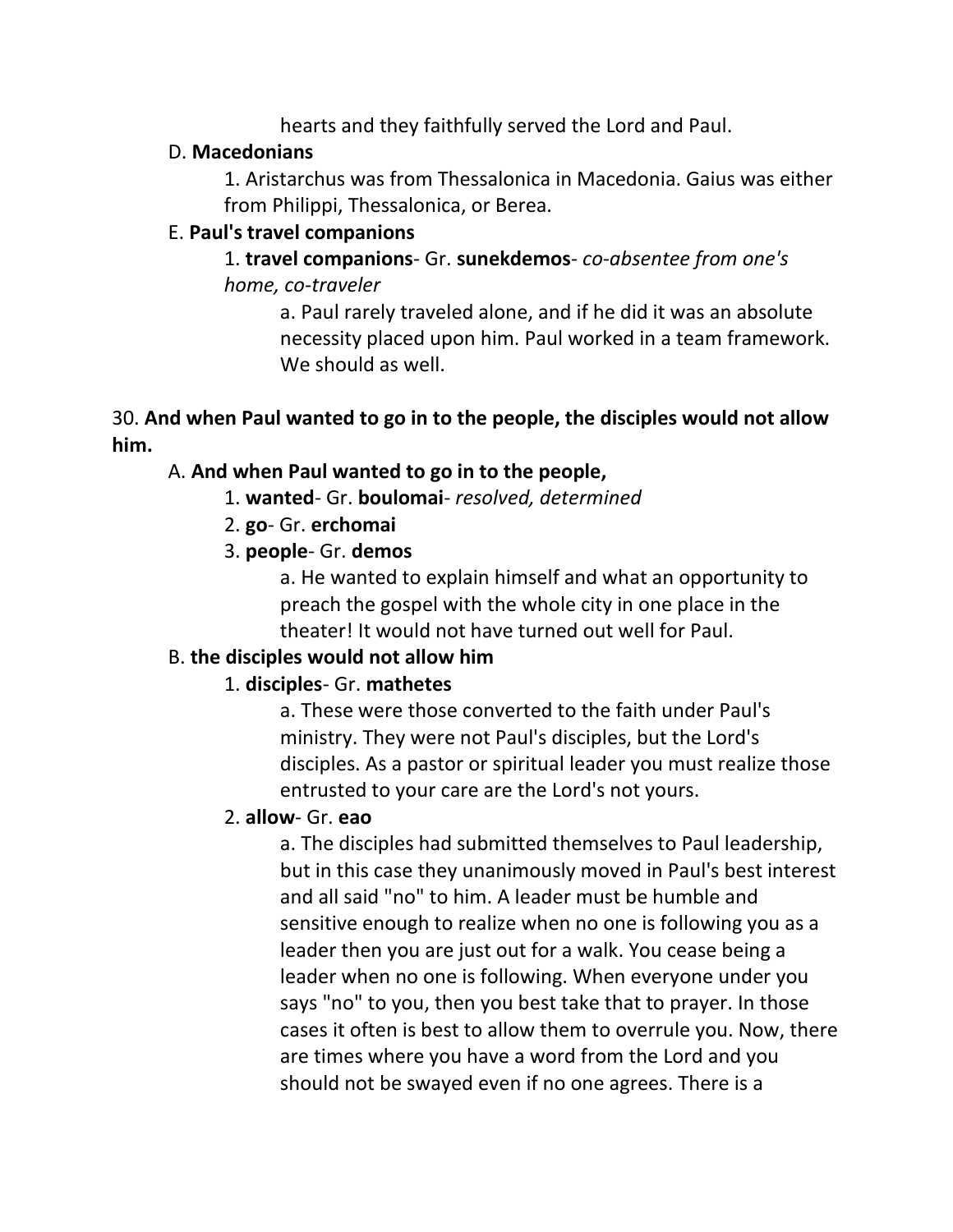hearts and they faithfully served the Lord and Paul.

#### D. **Macedonians**

1. Aristarchus was from Thessalonica in Macedonia. Gaius was either from Philippi, Thessalonica, or Berea.

#### E. **Paul's travel companions**

1. **travel companions**- Gr. **sunekdemos**- *co-absentee from one's home, co-traveler*

a. Paul rarely traveled alone, and if he did it was an absolute necessity placed upon him. Paul worked in a team framework. We should as well.

## 30. **And when Paul wanted to go in to the people, the disciples would not allow him.**

## A. **And when Paul wanted to go in to the people,**

- 1. **wanted** Gr. **boulomai** *resolved, determined*
- 2. **go** Gr. **erchomai**
- 3. **people** Gr. **demos**

a. He wanted to explain himself and what an opportunity to preach the gospel with the whole city in one place in the theater! It would not have turned out well for Paul.

## B. **the disciples would not allow him**

## 1. **disciples**- Gr. **mathetes**

a. These were those converted to the faith under Paul's ministry. They were not Paul's disciples, but the Lord's disciples. As a pastor or spiritual leader you must realize those entrusted to your care are the Lord's not yours.

#### 2. **allow**- Gr. **eao**

a. The disciples had submitted themselves to Paul leadership, but in this case they unanimously moved in Paul's best interest and all said "no" to him. A leader must be humble and sensitive enough to realize when no one is following you as a leader then you are just out for a walk. You cease being a leader when no one is following. When everyone under you says "no" to you, then you best take that to prayer. In those cases it often is best to allow them to overrule you. Now, there are times where you have a word from the Lord and you should not be swayed even if no one agrees. There is a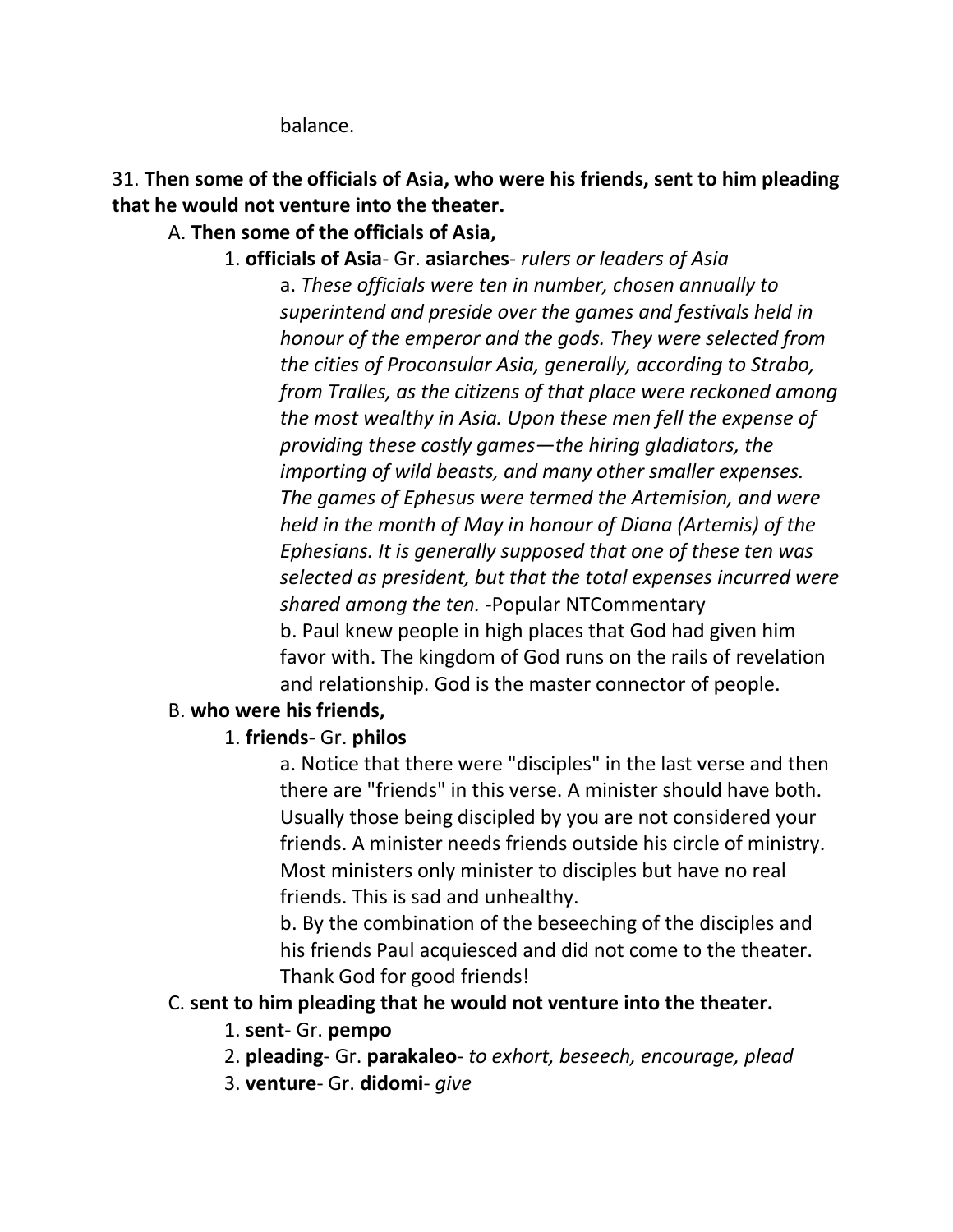balance.

# 31. **Then some of the officials of Asia, who were his friends, sent to him pleading that he would not venture into the theater.**

## A. **Then some of the officials of Asia,**

1. **officials of Asia**- Gr. **asiarches**- *rulers or leaders of Asia*

a. *These officials were ten in number, chosen annually to superintend and preside over the games and festivals held in honour of the emperor and the gods. They were selected from the cities of Proconsular Asia, generally, according to Strabo, from Tralles, as the citizens of that place were reckoned among the most wealthy in Asia. Upon these men fell the expense of providing these costly games—the hiring gladiators, the importing of wild beasts, and many other smaller expenses. The games of Ephesus were termed the Artemision, and were held in the month of May in honour of Diana (Artemis) of the Ephesians. It is generally supposed that one of these ten was selected as president, but that the total expenses incurred were shared among the ten.* -Popular NTCommentary b. Paul knew people in high places that God had given him favor with. The kingdom of God runs on the rails of revelation and relationship. God is the master connector of people.

## B. **who were his friends,**

## 1. **friends**- Gr. **philos**

a. Notice that there were "disciples" in the last verse and then there are "friends" in this verse. A minister should have both. Usually those being discipled by you are not considered your friends. A minister needs friends outside his circle of ministry. Most ministers only minister to disciples but have no real friends. This is sad and unhealthy.

b. By the combination of the beseeching of the disciples and his friends Paul acquiesced and did not come to the theater. Thank God for good friends!

## C. **sent to him pleading that he would not venture into the theater.**

- 1. **sent** Gr. **pempo**
- 2. **pleading** Gr. **parakaleo** *to exhort, beseech, encourage, plead*
- 3. **venture** Gr. **didomi** *give*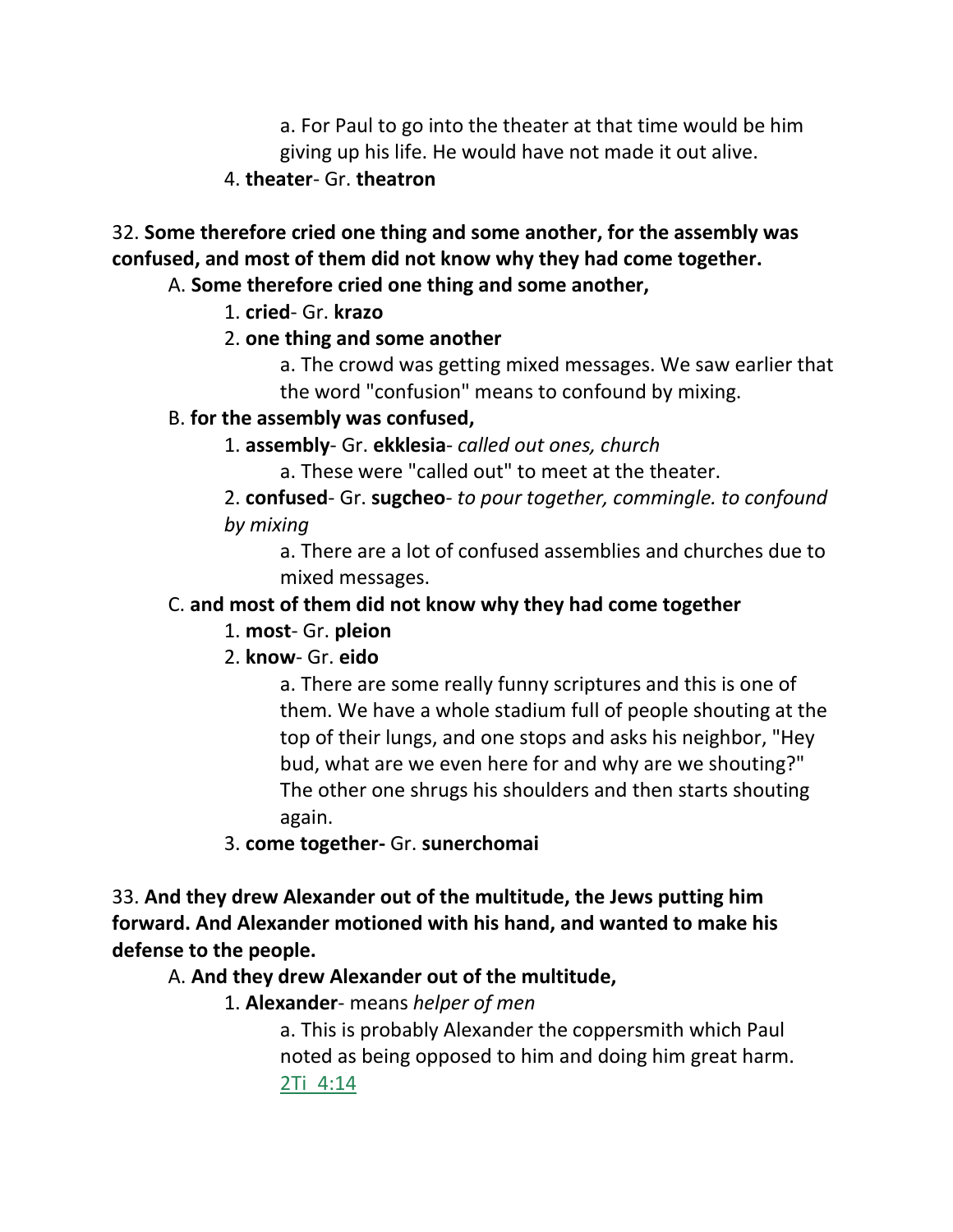a. For Paul to go into the theater at that time would be him giving up his life. He would have not made it out alive.

4. **theater**- Gr. **theatron**

32. **Some therefore cried one thing and some another, for the assembly was confused, and most of them did not know why they had come together.**

#### A. **Some therefore cried one thing and some another,**

1. **cried**- Gr. **krazo**

## 2. **one thing and some another**

a. The crowd was getting mixed messages. We saw earlier that the word "confusion" means to confound by mixing.

## B. **for the assembly was confused,**

1. **assembly**- Gr. **ekklesia**- *called out ones, church*

a. These were "called out" to meet at the theater.

2. **confused**- Gr. **sugcheo**- *to pour together, commingle. to confound by mixing*

a. There are a lot of confused assemblies and churches due to mixed messages.

## C. **and most of them did not know why they had come together**

## 1. **most**- Gr. **pleion**

# 2. **know**- Gr. **eido**

a. There are some really funny scriptures and this is one of them. We have a whole stadium full of people shouting at the top of their lungs, and one stops and asks his neighbor, "Hey bud, what are we even here for and why are we shouting?" The other one shrugs his shoulders and then starts shouting again.

3. **come together-** Gr. **sunerchomai**

33. **And they drew Alexander out of the multitude, the Jews putting him forward. And Alexander motioned with his hand, and wanted to make his defense to the people.**

# A. **And they drew Alexander out of the multitude,**

1. **Alexander**- means *helper of men*

a. This is probably Alexander the coppersmith which Paul noted as being opposed to him and doing him great harm. 2Ti\_4:14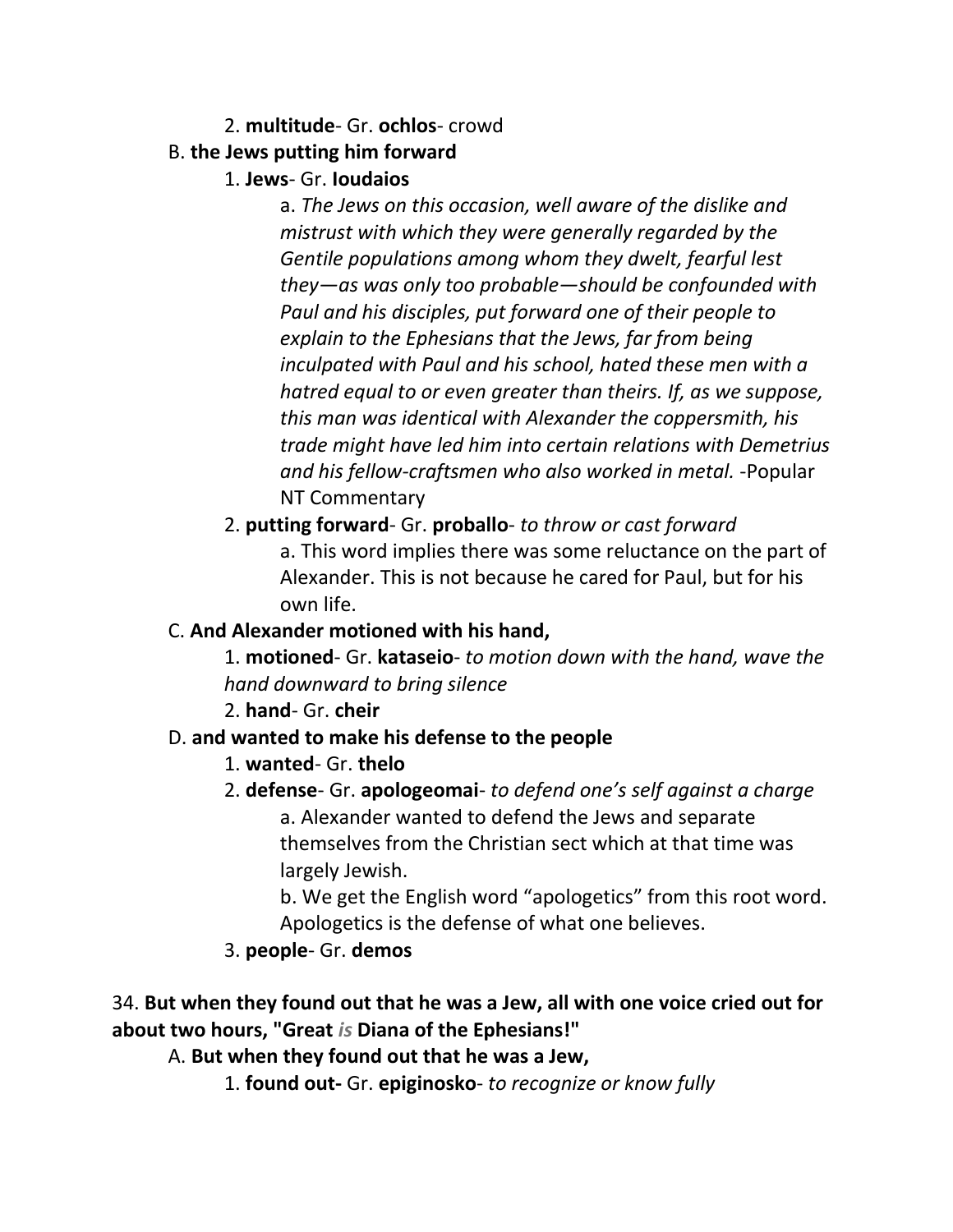#### 2. **multitude**- Gr. **ochlos**- crowd

## B. **the Jews putting him forward**

## 1. **Jews**- Gr. **Ioudaios**

a. *The Jews on this occasion, well aware of the dislike and mistrust with which they were generally regarded by the Gentile populations among whom they dwelt, fearful lest they—as was only too probable—should be confounded with Paul and his disciples, put forward one of their people to explain to the Ephesians that the Jews, far from being inculpated with Paul and his school, hated these men with a hatred equal to or even greater than theirs. If, as we suppose, this man was identical with Alexander the coppersmith, his trade might have led him into certain relations with Demetrius and his fellow-craftsmen who also worked in metal.* -Popular NT Commentary

2. **putting forward**- Gr. **proballo**- *to throw or cast forward* a. This word implies there was some reluctance on the part of Alexander. This is not because he cared for Paul, but for his own life.

## C. **And Alexander motioned with his hand,**

1. **motioned**- Gr. **kataseio**- *to motion down with the hand, wave the hand downward to bring silence*

2. **hand**- Gr. **cheir**

# D. **and wanted to make his defense to the people**

- 1. **wanted** Gr. **thelo**
- 2. **defense** Gr. **apologeomai** *to defend one's self against a charge* a. Alexander wanted to defend the Jews and separate themselves from the Christian sect which at that time was largely Jewish.

b. We get the English word "apologetics" from this root word. Apologetics is the defense of what one believes.

## 3. **people**- Gr. **demos**

34. **But when they found out that he was a Jew, all with one voice cried out for about two hours, "Great** *is* **Diana of the Ephesians!"**

A. **But when they found out that he was a Jew,**

1. **found out-** Gr. **epiginosko**- *to recognize or know fully*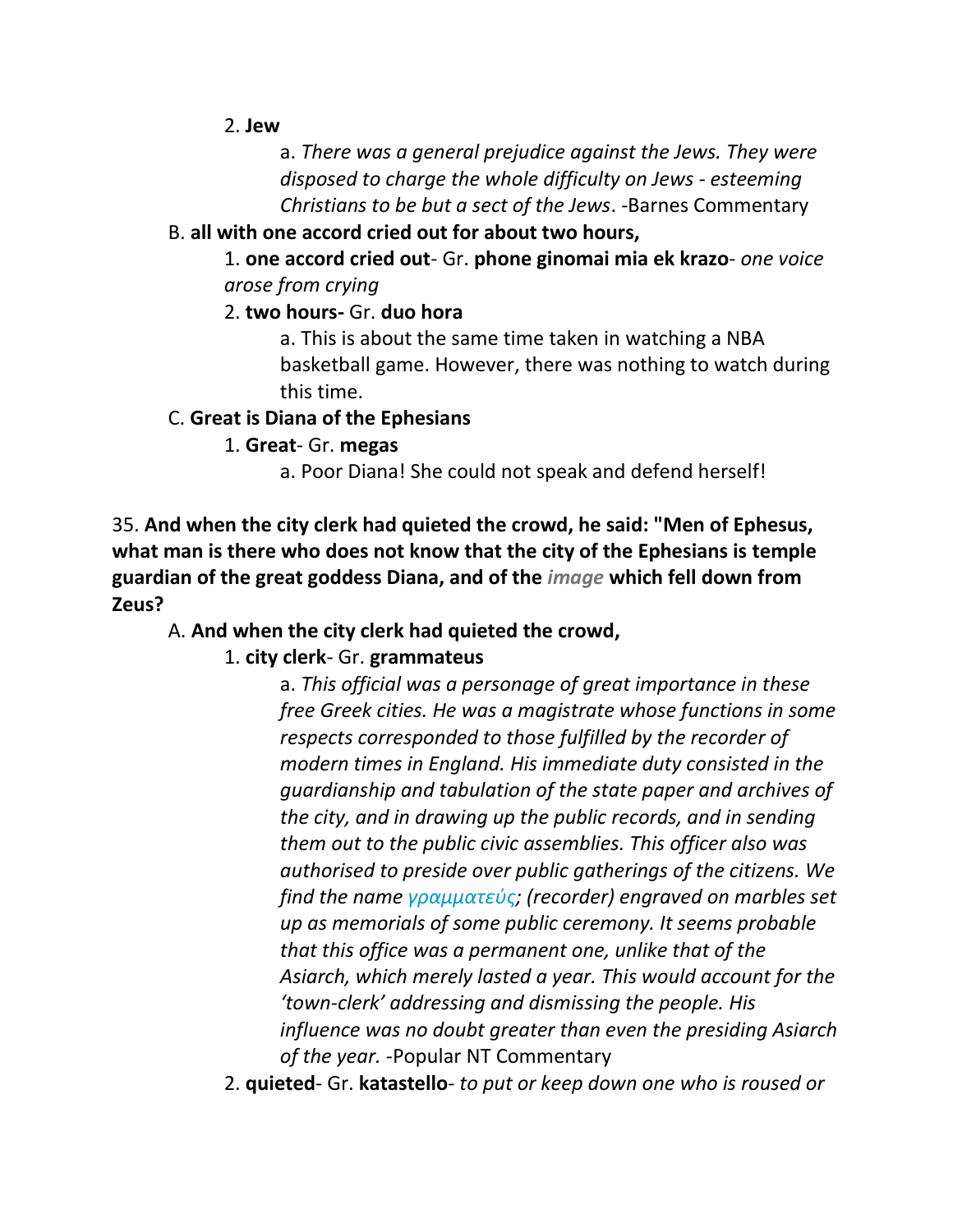#### 2. **Jew**

a. *There was a general prejudice against the Jews. They were disposed to charge the whole difficulty on Jews - esteeming Christians to be but a sect of the Jews*. -Barnes Commentary

#### B. **all with one accord cried out for about two hours,**

1. **one accord cried out**- Gr. **phone ginomai mia ek krazo**- *one voice arose from crying*

## 2. **two hours-** Gr. **duo hora**

a. This is about the same time taken in watching a NBA basketball game. However, there was nothing to watch during this time.

#### C. **Great is Diana of the Ephesians**

1. **Great**- Gr. **megas**

a. Poor Diana! She could not speak and defend herself!

35. **And when the city clerk had quieted the crowd, he said: "Men of Ephesus, what man is there who does not know that the city of the Ephesians is temple guardian of the great goddess Diana, and of the** *image* **which fell down from Zeus?**

## A. **And when the city clerk had quieted the crowd,**

## 1. **city clerk**- Gr. **grammateus**

a. *This official was a personage of great importance in these free Greek cities. He was a magistrate whose functions in some respects corresponded to those fulfilled by the recorder of modern times in England. His immediate duty consisted in the guardianship and tabulation of the state paper and archives of the city, and in drawing up the public records, and in sending them out to the public civic assemblies. This officer also was authorised to preside over public gatherings of the citizens. We find the name γραμματεύς; (recorder) engraved on marbles set up as memorials of some public ceremony. It seems probable that this office was a permanent one, unlike that of the Asiarch, which merely lasted a year. This would account for the 'town-clerk' addressing and dismissing the people. His influence was no doubt greater than even the presiding Asiarch of the year.* -Popular NT Commentary

2. **quieted**- Gr. **katastello**- *to put or keep down one who is roused or*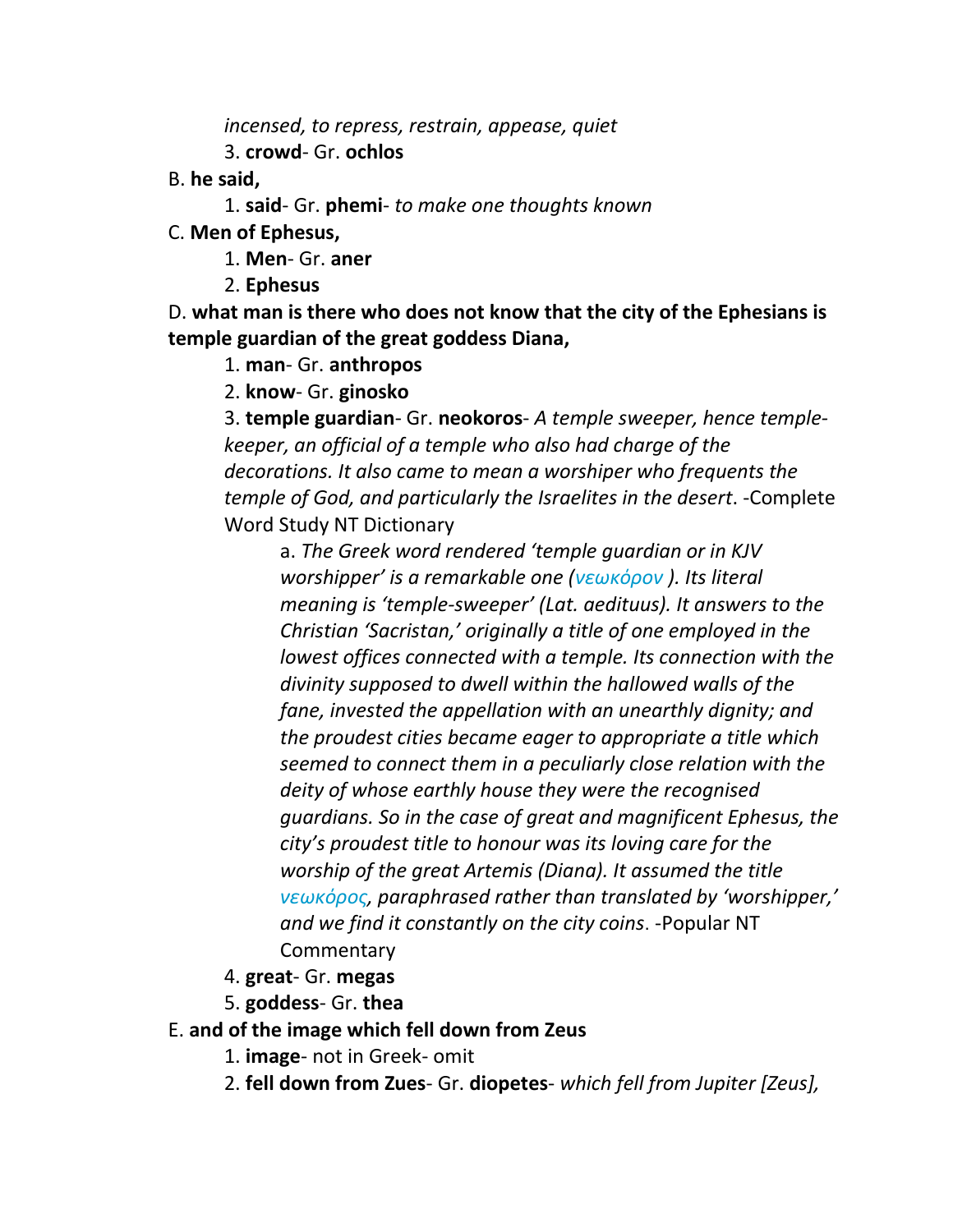*incensed, to repress, restrain, appease, quiet*

3. **crowd**- Gr. **ochlos**

- B. **he said,**
	- 1. **said** Gr. **phemi** *to make one thoughts known*
- C. **Men of Ephesus,**
	- 1. **Men** Gr. **aner**
	- 2. **Ephesus**

D. **what man is there who does not know that the city of the Ephesians is temple guardian of the great goddess Diana,**

1. **man**- Gr. **anthropos**

2. **know**- Gr. **ginosko**

3. **temple guardian**- Gr. **neokoros**- *A temple sweeper, hence templekeeper, an official of a temple who also had charge of the decorations. It also came to mean a worshiper who frequents the temple of God, and particularly the Israelites in the desert*. -Complete Word Study NT Dictionary

a. *The Greek word rendered 'temple guardian or in KJV worshipper' is a remarkable one (νεωκόρον ). Its literal meaning is 'temple-sweeper' (Lat. aedituus). It answers to the Christian 'Sacristan,' originally a title of one employed in the lowest offices connected with a temple. Its connection with the divinity supposed to dwell within the hallowed walls of the fane, invested the appellation with an unearthly dignity; and the proudest cities became eager to appropriate a title which seemed to connect them in a peculiarly close relation with the deity of whose earthly house they were the recognised guardians. So in the case of great and magnificent Ephesus, the city's proudest title to honour was its loving care for the worship of the great Artemis (Diana). It assumed the title νεωκόρος, paraphrased rather than translated by 'worshipper,' and we find it constantly on the city coins*. -Popular NT **Commentary** 

4. **great**- Gr. **megas**

5. **goddess**- Gr. **thea**

# E. **and of the image which fell down from Zeus**

- 1. **image** not in Greek- omit
- 2. **fell down from Zues** Gr. **diopetes** *which fell from Jupiter [Zeus],*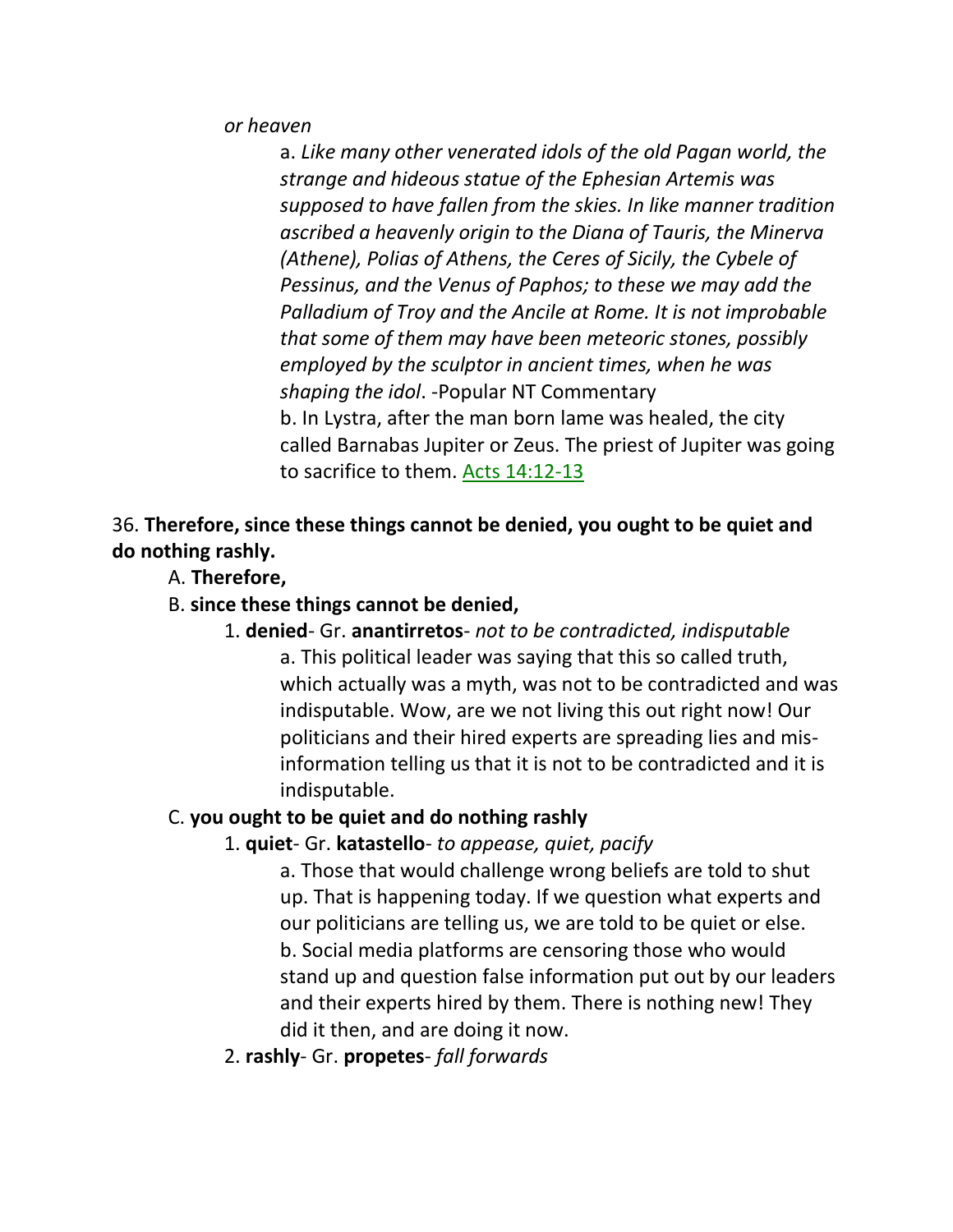*or heaven*

a. *Like many other venerated idols of the old Pagan world, the strange and hideous statue of the Ephesian Artemis was supposed to have fallen from the skies. In like manner tradition ascribed a heavenly origin to the Diana of Tauris, the Minerva (Athene), Polias of Athens, the Ceres of Sicily, the Cybele of Pessinus, and the Venus of Paphos; to these we may add the Palladium of Troy and the Ancile at Rome. It is not improbable that some of them may have been meteoric stones, possibly employed by the sculptor in ancient times, when he was shaping the idol*. -Popular NT Commentary b. In Lystra, after the man born lame was healed, the city called Barnabas Jupiter or Zeus. The priest of Jupiter was going to sacrifice to them. Acts 14:12-13

36. **Therefore, since these things cannot be denied, you ought to be quiet and do nothing rashly.**

- A. **Therefore,**
- B. **since these things cannot be denied,**
	- 1. **denied** Gr. **anantirretos** *not to be contradicted, indisputable*

a. This political leader was saying that this so called truth, which actually was a myth, was not to be contradicted and was indisputable. Wow, are we not living this out right now! Our politicians and their hired experts are spreading lies and misinformation telling us that it is not to be contradicted and it is indisputable.

#### C. **you ought to be quiet and do nothing rashly**

#### 1. **quiet**- Gr. **katastello**- *to appease, quiet, pacify*

a. Those that would challenge wrong beliefs are told to shut up. That is happening today. If we question what experts and our politicians are telling us, we are told to be quiet or else. b. Social media platforms are censoring those who would stand up and question false information put out by our leaders and their experts hired by them. There is nothing new! They did it then, and are doing it now.

2. **rashly**- Gr. **propetes**- *fall forwards*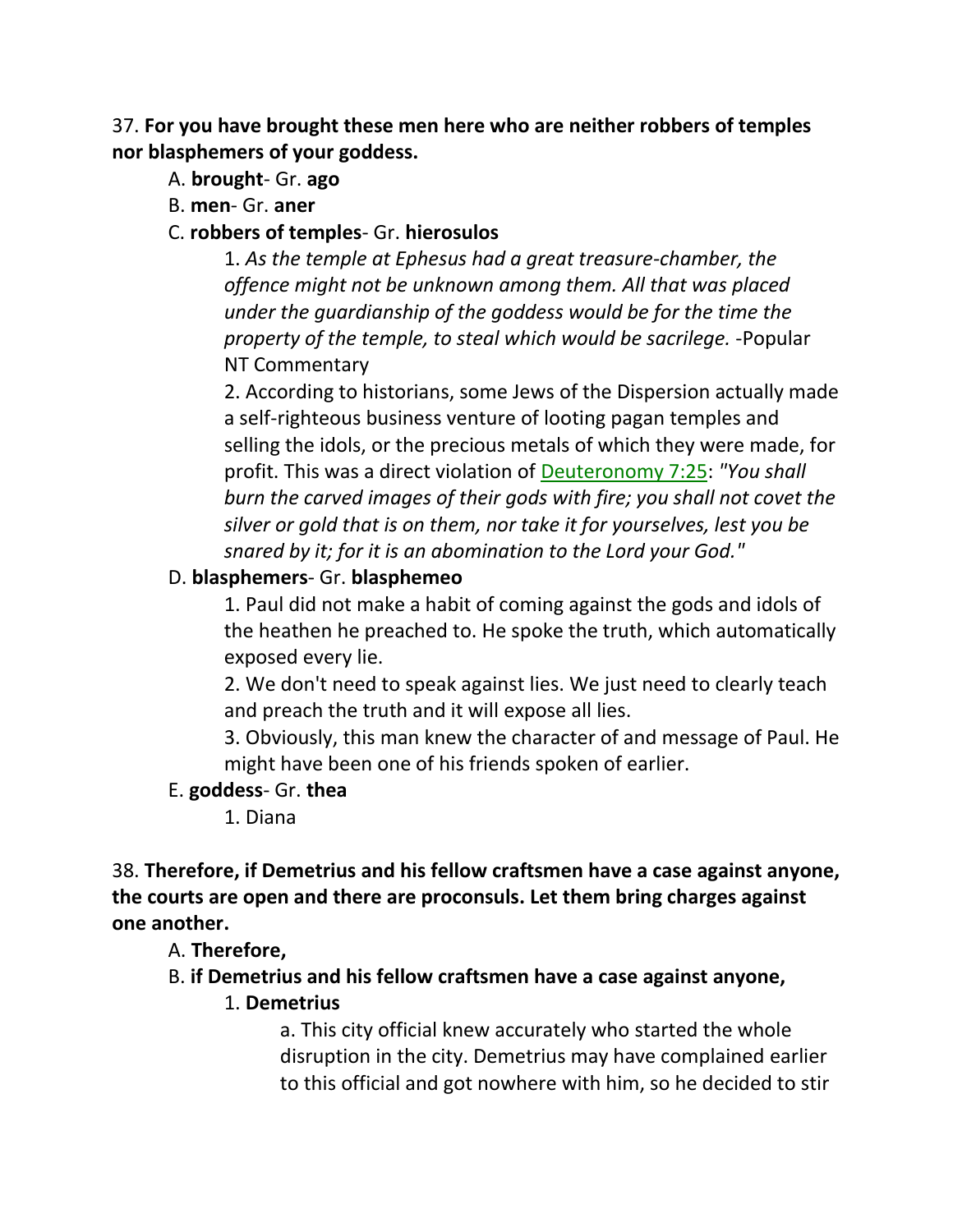37. **For you have brought these men here who are neither robbers of temples nor blasphemers of your goddess.**

- A. **brought** Gr. **ago**
- B. **men** Gr. **aner**

#### C. **robbers of temples**- Gr. **hierosulos**

1. *As the temple at Ephesus had a great treasure-chamber, the offence might not be unknown among them. All that was placed under the guardianship of the goddess would be for the time the property of the temple, to steal which would be sacrilege.* -Popular NT Commentary

2. According to historians, some Jews of the Dispersion actually made a self-righteous business venture of looting pagan temples and selling the idols, or the precious metals of which they were made, for profit. This was a direct violation of Deuteronomy 7:25: *"You shall burn the carved images of their gods with fire; you shall not covet the silver or gold that is on them, nor take it for yourselves, lest you be snared by it; for it is an abomination to the Lord your God."*

#### D. **blasphemers**- Gr. **blasphemeo**

1. Paul did not make a habit of coming against the gods and idols of the heathen he preached to. He spoke the truth, which automatically exposed every lie.

2. We don't need to speak against lies. We just need to clearly teach and preach the truth and it will expose all lies.

3. Obviously, this man knew the character of and message of Paul. He might have been one of his friends spoken of earlier.

#### E. **goddess**- Gr. **thea**

1. Diana

38. **Therefore, if Demetrius and his fellow craftsmen have a case against anyone, the courts are open and there are proconsuls. Let them bring charges against one another.**

#### A. **Therefore,**

B. **if Demetrius and his fellow craftsmen have a case against anyone,**

#### 1. **Demetrius**

a. This city official knew accurately who started the whole disruption in the city. Demetrius may have complained earlier to this official and got nowhere with him, so he decided to stir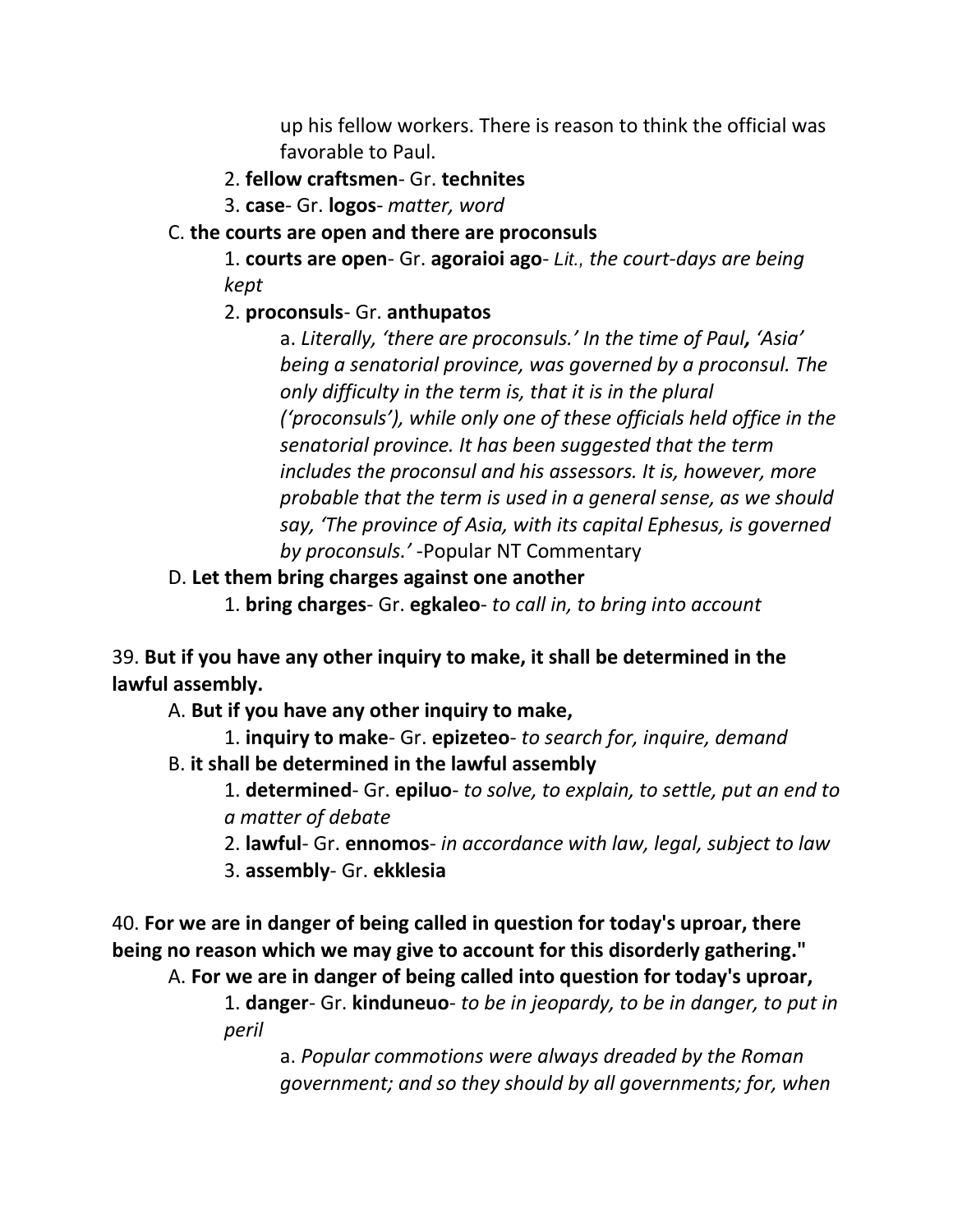up his fellow workers. There is reason to think the official was favorable to Paul.

#### 2. **fellow craftsmen**- Gr. **technites**

3. **case**- Gr. **logos**- *matter, word*

#### C. **the courts are open and there are proconsuls**

1. **courts are open**- Gr. **agoraioi ago**- *Lit., the court-days are being kept*

#### 2. **proconsuls**- Gr. **anthupatos**

a. *Literally, 'there are proconsuls.' In the time of Paul, 'Asia' being a senatorial province, was governed by a proconsul. The only difficulty in the term is, that it is in the plural ('proconsuls'), while only one of these officials held office in the senatorial province. It has been suggested that the term includes the proconsul and his assessors. It is, however, more probable that the term is used in a general sense, as we should say, 'The province of Asia, with its capital Ephesus, is governed by proconsuls.'* -Popular NT Commentary

#### D. **Let them bring charges against one another**

1. **bring charges**- Gr. **egkaleo**- *to call in, to bring into account*

39. **But if you have any other inquiry to make, it shall be determined in the lawful assembly.**

A. **But if you have any other inquiry to make,**

- 1. **inquiry to make** Gr. **epizeteo** *to search for, inquire, demand*
- B. **it shall be determined in the lawful assembly**

1. **determined**- Gr. **epiluo**- *to solve, to explain, to settle, put an end to a matter of debate*

- 2. **lawful** Gr. **ennomos** *in accordance with law, legal, subject to law*
- 3. **assembly** Gr. **ekklesia**

40. **For we are in danger of being called in question for today's uproar, there being no reason which we may give to account for this disorderly gathering."**

A. **For we are in danger of being called into question for today's uproar,**

1. **danger**- Gr. **kinduneuo**- *to be in jeopardy, to be in danger, to put in peril*

a. *Popular commotions were always dreaded by the Roman government; and so they should by all governments; for, when*